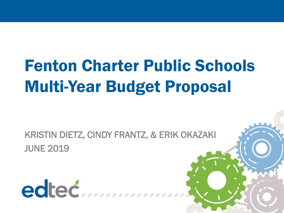# Fenton Charter Public Schools Multi-Year Budget Proposal

KRISTIN DIETZ, CINDY FRANTZ, & ERIK OKAZAKI JUNE 2019

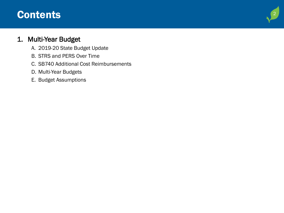### **Contents**

### 1. Multi -Year Budget

- A. 2019 -20 State Budget Update
- B. STRS and PERS Over Time
- C. SB740 Additional Cost Reimbursements
- D. Multi -Year Budgets
- E. Budget Assumptions

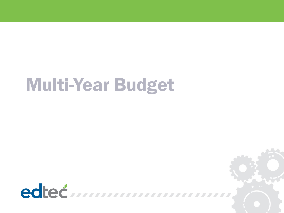# Multi-Year Budget

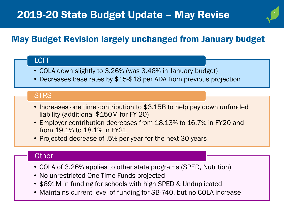# 4

### May Budget Revision largely unchanged from January budget

### LCFF

- COLA down slightly to 3.26% (was 3.46% in January budget)
- Decreases base rates by \$15-\$18 per ADA from previous projection

### **STRS**

- Increases one time contribution to \$3.15B to help pay down unfunded liability (additional \$150M for FY 20)
- Employer contribution decreases from 18.13% to 16.7% in FY20 and from 19.1% to 18.1% in FY21
- Projected decrease of .5% per year for the next 30 years

### **Other**

- COLA of 3.26% applies to other state programs (SPED, Nutrition)
- No unrestricted One-Time Funds projected
- \$691M in funding for schools with high SPED & Unduplicated
- Maintains current level of funding for SB-740, but no COLA increase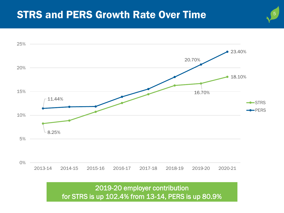### STRS and PERS Growth Rate Over Time



5 5

2019-20 employer contribution for STRS is up 102.4% from 13-14, PERS is up 80.9%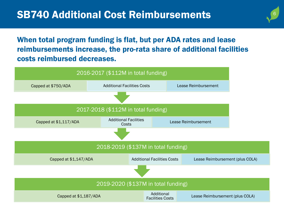When total program funding is flat, but per ADA rates and lease reimbursements increase, the pro-rata share of additional facilities costs reimbursed decreases.

 $\overline{6}$ 6

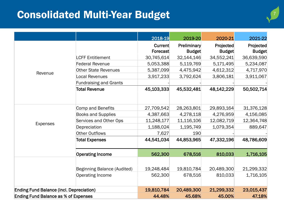## Consolidated Multi-Year Budget National Consolidated Multi-Year Budget

|                                                 |                               | 2018-19             | 2019-20                      | 2020-21                    | 2021-22                    |
|-------------------------------------------------|-------------------------------|---------------------|------------------------------|----------------------------|----------------------------|
|                                                 |                               | Current<br>Forecast | Preliminary<br><b>Budget</b> | Projected<br><b>Budget</b> | Projected<br><b>Budget</b> |
|                                                 | <b>LCFF Entitlement</b>       | 30,745,614          | 32,144,146                   | 34,552,241                 | 36,639,590                 |
|                                                 | <b>Federal Revenue</b>        | 5,053,388           | 5,119,769                    | 5,171,495                  | 5,234,087                  |
| Revenue                                         | <b>Other State Revenues</b>   | 5,387,099           | 4,475,942                    | 4,612,312                  | 4,717,970                  |
|                                                 | <b>Local Revenues</b>         | 3,917,233           | 3,792,624                    | 3,806,181                  | 3,911,067                  |
|                                                 | <b>Fundraising and Grants</b> |                     |                              |                            |                            |
|                                                 | <b>Total Revenue</b>          | 45,103,333          | 45,532,481                   | 48,142,229                 | 50,502,714                 |
|                                                 | Comp and Benefits             | 27,709,542          | 28,263,801                   | 29,893,164                 | 31,376,128                 |
|                                                 | <b>Books and Supplies</b>     | 4,387,663           | 4,278,118                    | 4,276,959                  | 4,156,085                  |
| <b>Expenses</b>                                 | Services and Other Ops        | 11,248,177          | 11,116,106                   | 12,082,719                 | 12,364,748                 |
|                                                 | Depreciation                  | 1,188,024           | 1,195,749                    | 1,079,354                  | 889,647                    |
|                                                 | <b>Other Outflows</b>         | 7,627               | 190                          |                            |                            |
|                                                 | <b>Total Expenses</b>         | 44,541,034          | 44,853,965                   | 47,332,196                 | 48,786,609                 |
|                                                 | <b>Operating Income</b>       | 562,300             | 678,516                      | 810,033                    | 1,716,105                  |
|                                                 | Beginning Balance (Audited)   | 19,248,484          | 19,810,784                   | 20,489,300                 | 21,299,332                 |
|                                                 | <b>Operating Income</b>       | 562,300             | 678,516                      | 810,033                    | 1,716,105                  |
| <b>Ending Fund Balance (incl. Depreciation)</b> |                               | 19,810,784          | 20,489,300                   | 21,299,332                 | 23,015,437                 |
| <b>Ending Fund Balance as % of Expenses</b>     |                               | 44.48%              | 45.68%                       | 45.00%                     | 47.18%                     |

.<br>7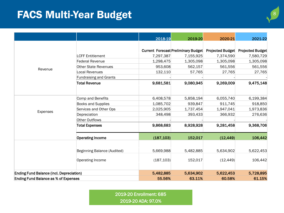## **FACS Multi-Year Budget**

|                                                 |                               | 2018-19    | 2019-20                                    | 2020-21                 | 2021-22                 |
|-------------------------------------------------|-------------------------------|------------|--------------------------------------------|-------------------------|-------------------------|
|                                                 |                               |            |                                            |                         |                         |
|                                                 |                               |            | <b>Current Forecast Preliminary Budget</b> | <b>Projected Budget</b> | <b>Projected Budget</b> |
|                                                 | <b>LCFF Entitlement</b>       | 7,297,387  | 7,155,925                                  | 7,374,590               | 7,580,729               |
|                                                 | <b>Federal Revenue</b>        | 1,298,475  | 1,305,098                                  | 1,305,098               | 1,305,098               |
|                                                 | <b>Other State Revenues</b>   | 953,608    | 562,157                                    | 561,556                 | 561,556                 |
| Revenue                                         | <b>Local Revenues</b>         | 132,110    | 57,765                                     | 27,765                  | 27,765                  |
|                                                 | <b>Fundraising and Grants</b> |            |                                            |                         |                         |
|                                                 | <b>Total Revenue</b>          | 9,681,581  | 9,080,945                                  | 9,269,009               | 9,475,148               |
|                                                 |                               |            |                                            |                         |                         |
|                                                 | Comp and Benefits             | 6,408,578  | 5,858,194                                  | 6,055,740               | 6,199,384               |
|                                                 | <b>Books and Supplies</b>     | 1,085,702  | 939,847                                    | 911,745                 | 918,850                 |
|                                                 | Services and Other Ops        | 2,025,905  | 1,737,454                                  | 1,947,041               | 1,973,836               |
| Expenses                                        | Depreciation                  | 348,498    | 393,433                                    | 366,932                 | 276,636                 |
|                                                 | Other Outflows                |            |                                            |                         |                         |
|                                                 | <b>Total Expenses</b>         | 9,868,683  | 8,928,928                                  | 9,281,458               | 9,368,706               |
|                                                 | <b>Operating Income</b>       | (187, 103) | 152,017                                    | (12, 449)               | 106,442                 |
|                                                 |                               |            |                                            |                         |                         |
|                                                 | Beginning Balance (Audited)   | 5,669,988  | 5,482,885                                  | 5,634,902               | 5,622,453               |
|                                                 | Operating Income              | (187, 103) | 152,017                                    | (12, 449)               | 106,442                 |
| <b>Ending Fund Balance (incl. Depreciation)</b> |                               | 5,482,885  | 5,634,902                                  | 5,622,453               | 5,728,895               |
| <b>Ending Fund Balance as % of Expenses</b>     |                               | 55.56%     | 63.11%                                     | 60.58%                  | 61.15%                  |

2019-20 Enrollment: 685 2019-20 ADA: 97.0%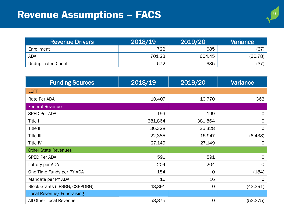| <b>Revenue Drivers</b>    | 2018/19 | 2019/20 | Variance |
|---------------------------|---------|---------|----------|
| Enrollment                | 722     | 685     | (37)     |
| <b>ADA</b>                | 701.23  | 664.45  | (36.78)  |
| <b>Unduplicated Count</b> | 672     | 635     | (37)     |

| <b>Funding Sources</b>               | 2018/19 | 2019/20      | <b>Variance</b> |
|--------------------------------------|---------|--------------|-----------------|
| <b>LCFF</b>                          |         |              |                 |
| Rate Per ADA                         | 10,407  | 10,770       | 363             |
| <b>Federal Revenue</b>               |         |              |                 |
| <b>SPED Per ADA</b>                  | 199     | 199          | $\mathsf{O}$    |
| Title I                              | 381,864 | 381,864      | $\mathsf{O}$    |
| Title II                             | 36,328  | 36,328       | $\Omega$        |
| Title III                            | 22,385  | 15,947       | (6, 438)        |
| Title IV                             | 27,149  | 27,149       | $\Omega$        |
| <b>Other State Revenues</b>          |         |              |                 |
| <b>SPED Per ADA</b>                  | 591     | 591          | $\mathsf{O}$    |
| Lottery per ADA                      | 204     | 204          | $\mathsf{O}$    |
| One Time Funds per PY ADA            | 184     | 0            | (184)           |
| Mandate per PY ADA                   | 16      | 16           | $\Omega$        |
| <b>Block Grants (LPSBG, CSEPDBG)</b> | 43,391  | $\mathsf{O}$ | (43, 391)       |
| Local Revenue/ Fundraising           |         |              |                 |
| All Other Local Revenue              | 53,375  | 0            | (53, 375)       |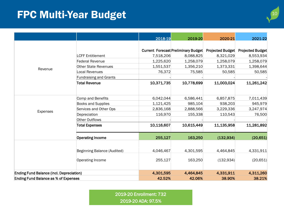# **1010 FPC Multi-Year Budget**

|                                                 |                               | 2018-19    | 2019-20                                    | 2020-21                 | 2021-22                 |
|-------------------------------------------------|-------------------------------|------------|--------------------------------------------|-------------------------|-------------------------|
|                                                 |                               |            |                                            |                         |                         |
|                                                 |                               |            |                                            |                         |                         |
|                                                 |                               |            | <b>Current Forecast Preliminary Budget</b> | <b>Projected Budget</b> | <b>Projected Budget</b> |
|                                                 | <b>LCFF Entitlement</b>       | 7,518,206  | 8,088,825                                  | 8,321,029               | 8,553,934               |
|                                                 | <b>Federal Revenue</b>        | 1,225,620  | 1,258,079                                  | 1,258,079               | 1,258,079               |
| Revenue                                         | <b>Other State Revenues</b>   | 1,551,537  | 1,356,210                                  | 1,373,331               | 1,398,644               |
|                                                 | <b>Local Revenues</b>         | 76,372     | 75,585                                     | 50,585                  | 50,585                  |
|                                                 | <b>Fundraising and Grants</b> |            |                                            |                         |                         |
|                                                 | <b>Total Revenue</b>          | 10,371,735 | 10,778,699                                 | 11,003,024              | 11,261,242              |
|                                                 | Comp and Benefits             | 6,042,044  | 6,586,441                                  | 6,857,875               | 7,011,439               |
|                                                 | <b>Books and Supplies</b>     | 1,121,425  | 985,104                                    | 938,203                 | 945,979                 |
|                                                 | Services and Other Ops        | 2,836,168  | 2,888,566                                  | 3,229,336               | 3,247,974               |
| <b>Expenses</b>                                 | Depreciation                  | 116,970    | 155,338                                    | 110,543                 | 76,500                  |
|                                                 | <b>Other Outflows</b>         |            |                                            |                         |                         |
|                                                 | <b>Total Expenses</b>         | 10,116,607 | 10,615,449                                 | 11,135,958              | 11,281,892              |
|                                                 | <b>Operating Income</b>       | 255,127    | 163,250                                    | (132, 934)              | (20, 651)               |
|                                                 | Beginning Balance (Audited)   | 4,046,467  | 4,301,595                                  | 4,464,845               | 4,331,911               |
|                                                 |                               |            |                                            |                         |                         |
|                                                 | Operating Income              | 255,127    | 163,250                                    | (132, 934)              | (20, 651)               |
| <b>Ending Fund Balance (incl. Depreciation)</b> |                               | 4,301,595  | 4,464,845                                  | 4,331,911               | 4,311,260               |
| <b>Ending Fund Balance as % of Expenses</b>     |                               | 42.52%     | 42.06%                                     | 38.90%                  | 38.21%                  |

2019-20 Enrollment: 732 2019-20 ADA: 97.5%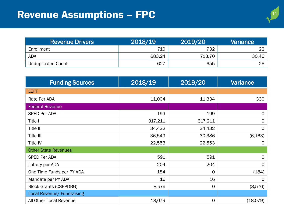| <b>Revenue Drivers</b>    | 2018/19 | 2019/20 | Variance |
|---------------------------|---------|---------|----------|
| Enrollment                | 710     | 732     | ົດຕ      |
| <b>ADA</b>                | 683.24  | 713.70  | 30.46    |
| <b>Unduplicated Count</b> | 627     | 655     | 28       |

| <b>Funding Sources</b>        | 2018/19 | 2019/20     | <b>Variance</b> |
|-------------------------------|---------|-------------|-----------------|
| <b>LCFF</b>                   |         |             |                 |
| Rate Per ADA                  | 11,004  | 11,334      | 330             |
| <b>Federal Revenue</b>        |         |             |                 |
| SPED Per ADA                  | 199     | 199         | $\mathsf{O}$    |
| Title I                       | 317,211 | 317,211     | $\mathbf 0$     |
| Title II                      | 34,432  | 34,432      | $\Omega$        |
| Title III                     | 36,549  | 30,386      | (6, 163)        |
| <b>Title IV</b>               | 22,553  | 22,553      | $\overline{O}$  |
| <b>Other State Revenues</b>   |         |             |                 |
| SPED Per ADA                  | 591     | 591         | $\mathsf{O}$    |
| Lottery per ADA               | 204     | 204         | $\mathsf{O}$    |
| One Time Funds per PY ADA     | 184     | $\mathbf 0$ | (184)           |
| Mandate per PY ADA            | 16      | 16          | $\Omega$        |
| <b>Block Grants (CSEPDBG)</b> | 8,576   | 0           | (8,576)         |
| Local Revenue/ Fundraising    |         |             |                 |
| All Other Local Revenue       | 18,079  | 0           | (18,079)        |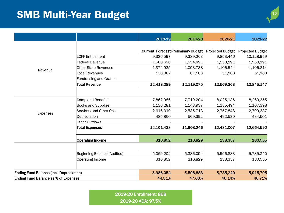## **SMB Multi-Year Budget**

| Ø |
|---|
|   |
|   |

|                                                 |                               | 2018-19    | 2019-20                                    | 2020-21                 | 2021-22                 |
|-------------------------------------------------|-------------------------------|------------|--------------------------------------------|-------------------------|-------------------------|
|                                                 |                               |            |                                            |                         |                         |
|                                                 |                               |            | <b>Current Forecast Preliminary Budget</b> | <b>Projected Budget</b> | <b>Projected Budget</b> |
|                                                 | <b>LCFF Entitlement</b>       | 9,336,597  | 9,389,263                                  | 9,853,446               | 10,128,959              |
|                                                 | <b>Federal Revenue</b>        | 1,568,690  | 1,554,891                                  | 1,558,191               | 1,558,191               |
|                                                 | <b>Other State Revenues</b>   | 1,374,935  | 1,093,738                                  | 1,106,544               | 1,106,814               |
| Revenue                                         | <b>Local Revenues</b>         | 138,067    | 81,183                                     | 51,183                  | 51,183                  |
|                                                 | <b>Fundraising and Grants</b> |            |                                            |                         |                         |
|                                                 | <b>Total Revenue</b>          | 12,418,289 | 12,119,075                                 | 12,569,363              | 12,845,147              |
|                                                 |                               |            |                                            |                         |                         |
|                                                 | Comp and Benefits             | 7,862,986  | 7,719,204                                  | 8,025,135               | 8,263,355               |
|                                                 | <b>Books and Supplies</b>     | 1,136,281  | 1,143,937                                  | 1,155,494               | 1,167,398               |
| Expenses                                        | Services and Other Ops        | 2,616,310  | 2,535,713                                  | 2,757,848               | 2,799,337               |
|                                                 | Depreciation                  | 485,860    | 509,392                                    | 492,530                 | 434,501                 |
|                                                 | <b>Other Outflows</b>         |            |                                            |                         |                         |
|                                                 | <b>Total Expenses</b>         | 12,101,438 | 11,908,246                                 | 12,431,007              | 12,664,592              |
|                                                 | <b>Operating Income</b>       | 316,852    | 210,829                                    | 138,357                 | 180,555                 |
|                                                 |                               |            |                                            |                         |                         |
|                                                 | Beginning Balance (Audited)   | 5,069,202  | 5,386,054                                  | 5,596,883               | 5,735,240               |
|                                                 | Operating Income              | 316,852    | 210,829                                    | 138,357                 | 180,555                 |
|                                                 |                               |            |                                            |                         |                         |
| <b>Ending Fund Balance (incl. Depreciation)</b> |                               | 5,386,054  | 5,596,883                                  | 5,735,240               | 5,915,795               |
| <b>Ending Fund Balance as % of Expenses</b>     |                               | 44.51%     | 47.00%                                     | 46.14%                  | 46.71%                  |

2019-20 Enrollment: 868 2019-20 ADA: 97.5%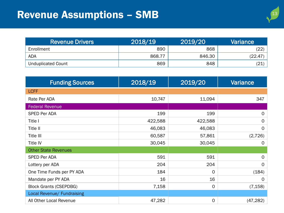# Revenue Assumptions - SMB

| <b>Revenue Drivers</b>    | 2018/19 | 2019/20 | Variance        |
|---------------------------|---------|---------|-----------------|
| Enrollment                | 890     | 868     | (22)            |
| <b>ADA</b>                | 868.77  | 846.30  | (22.47          |
| <b>Unduplicated Count</b> | 869     | 848     | $\overline{21}$ |

| <b>Funding Sources</b>        | 2018/19 | 2019/20      | <b>Variance</b> |
|-------------------------------|---------|--------------|-----------------|
| <b>LCFF</b>                   |         |              |                 |
| Rate Per ADA                  | 10,747  | 11,094       | 347             |
| <b>Federal Revenue</b>        |         |              |                 |
| <b>SPED Per ADA</b>           | 199     | 199          | $\mathsf{O}$    |
| Title I                       | 422,588 | 422,588      | $\mathsf{O}$    |
| Title II                      | 46,083  | 46,083       | $\mathbf 0$     |
| Title III                     | 60,587  | 57,861       | (2,726)         |
| <b>Title IV</b>               | 30,045  | 30,045       | 0               |
| <b>Other State Revenues</b>   |         |              |                 |
| <b>SPED Per ADA</b>           | 591     | 591          | $\mathsf{O}$    |
| Lottery per ADA               | 204     | 204          | $\mathsf{O}$    |
| One Time Funds per PY ADA     | 184     | $\mathbf 0$  | (184)           |
| Mandate per PY ADA            | 16      | 16           | $\mathbf 0$     |
| <b>Block Grants (CSEPDBG)</b> | 7,158   | $\mathsf{O}$ | (7, 158)        |
| Local Revenue/ Fundraising    |         |              |                 |
| All Other Local Revenue       | 47,282  | $\mathbf 0$  | (47, 282)       |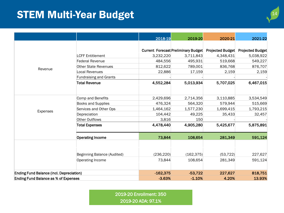## **STEM Multi-Year Budget 14 -Year Budget** 14 -Year 14 -Year 14 -Year 14 -Year 14 -Year 14 -Year 14 -Year 14 -Year 14 -Year 14 -Year 14 -Year 14 -Year 14 -Year 14 -Year 14 -Year 14 -Year 14 -Year 14 -Year 14 -Year 14 -Year

|                                                 |                                             | 2018-19    | 2019-20                                    | 2020-21   | 2021-22                           |
|-------------------------------------------------|---------------------------------------------|------------|--------------------------------------------|-----------|-----------------------------------|
|                                                 |                                             |            |                                            |           |                                   |
|                                                 |                                             |            | <b>Current Forecast Preliminary Budget</b> |           | Projected Budget Projected Budget |
|                                                 | <b>LCFF Entitlement</b>                     | 3,232,220  | 3,711,843                                  | 4,348,431 | 5,038,922                         |
|                                                 | <b>Federal Revenue</b>                      | 484,556    | 495,931                                    | 519,668   | 549,227                           |
|                                                 | <b>Other State Revenues</b>                 | 812,622    | 789,001                                    | 836,768   | 876,707                           |
| Revenue                                         | <b>Local Revenues</b>                       | 22,886     | 17,159                                     | 2,159     | 2,159                             |
|                                                 | <b>Fundraising and Grants</b>               |            |                                            |           |                                   |
|                                                 | <b>Total Revenue</b>                        | 4,552,284  | 5,013,934                                  | 5,707,025 | 6,467,015                         |
|                                                 | Comp and Benefits                           | 2,429,696  | 2,714,356                                  | 3,110,885 | 3,534,549                         |
|                                                 | Books and Supplies                          | 476,324    | 564,320                                    | 579,944   | 515,669                           |
|                                                 | Services and Other Ops                      | 1,464,162  | 1,577,230                                  | 1,699,415 | 1,793,215                         |
| Expenses                                        | Depreciation                                | 104,442    | 49,225                                     | 35,433    | 32,457                            |
|                                                 | <b>Other Outflows</b>                       | 3,816      | 150                                        |           |                                   |
|                                                 | <b>Total Expenses</b>                       | 4,478,440  | 4,905,280                                  | 5,425,677 | 5,875,891                         |
|                                                 | <b>Operating Income</b>                     | 73,844     | 108,654                                    | 281,349   | 591,124                           |
|                                                 |                                             |            |                                            |           |                                   |
|                                                 | Beginning Balance (Audited)                 | (236, 220) | (162, 375)                                 | (53, 722) | 227,627                           |
|                                                 | Operating Income                            | 73,844     | 108,654                                    | 281,349   | 591,124                           |
| <b>Ending Fund Balance (incl. Depreciation)</b> |                                             | $-162,375$ | $-53,722$                                  | 227,627   | 818,751                           |
|                                                 | <b>Ending Fund Balance as % of Expenses</b> |            | $-3.63%$<br>$-1.10%$                       | 4.20%     | 13.93%                            |

2019-20 Enrollment: 350 2019-20 ADA: 97.1%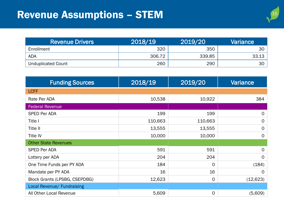# Revenue Assumptions - STEM

| ı<br>۹<br>6 |
|-------------|
|             |
|             |

| <b>Revenue Drivers</b>    | 2018/19 | 2019/20 |                 |
|---------------------------|---------|---------|-----------------|
| Enrollment                | 320     | 350     | 30 <sup>1</sup> |
| <b>ADA</b>                | 306.72  | 339.85  | 33.13           |
| <b>Unduplicated Count</b> | 260     | 290     | 30 <sup>1</sup> |

| <b>Funding Sources</b>        | 2018/19 | 2019/20     | Variance     |
|-------------------------------|---------|-------------|--------------|
| <b>LCFF</b>                   |         |             |              |
| Rate Per ADA                  | 10,538  | 10,922      | 384          |
| Federal Revenue               |         |             |              |
| SPED Per ADA                  | 199     | 199         | $\mathsf{O}$ |
| Title I                       | 110,663 | 110,663     | $\mathbf 0$  |
| Title II                      | 13,555  | 13,555      | $\mathbf 0$  |
| Title IV                      | 10,000  | 10,000      | $\mathbf{O}$ |
| <b>Other State Revenues</b>   |         |             |              |
| <b>SPED Per ADA</b>           | 591     | 591         | $\mathsf{O}$ |
| Lottery per ADA               | 204     | 204         | $\mathbf 0$  |
| One Time Funds per PY ADA     | 184     | $\mathbf 0$ | (184)        |
| Mandate per PY ADA            | 16      | 16          | 0            |
| Block Grants (LPSBG, CSEPDBG) | 12,623  | $\mathbf 0$ | (12, 623)    |
| Local Revenue/ Fundraising    |         |             |              |
| All Other Local Revenue       | 5,609   | 0           | (5,609)      |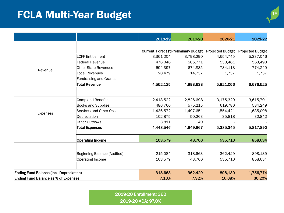## **FCLA Multi-Year Budget**

|  | ۶ |  |
|--|---|--|
|  |   |  |
|  |   |  |
|  |   |  |
|  |   |  |

|                                                 |                               | 2018-19   | 2019-20                             | 2020-21                 | 2021-22                 |
|-------------------------------------------------|-------------------------------|-----------|-------------------------------------|-------------------------|-------------------------|
|                                                 |                               |           |                                     |                         |                         |
|                                                 |                               |           | Current Forecast Preliminary Budget | <b>Projected Budget</b> | <b>Projected Budget</b> |
|                                                 | <b>LCFF Entitlement</b>       | 3,361,204 | 3,798,290                           | 4,654,745               | 5,337,046               |
|                                                 | <b>Federal Revenue</b>        | 476,046   | 505,771                             | 530,461                 | 563,493                 |
|                                                 | <b>Other State Revenues</b>   | 694,397   | 674,835                             | 734,113                 | 774,249                 |
| Revenue                                         | <b>Local Revenues</b>         | 20,479    | 14,737                              | 1,737                   | 1,737                   |
|                                                 | <b>Fundraising and Grants</b> |           |                                     |                         |                         |
|                                                 | <b>Total Revenue</b>          | 4,552,125 | 4,993,633                           | 5,921,056               | 6,676,525               |
|                                                 | Comp and Benefits             | 2,418,522 | 2,826,698                           | 3,175,320               | 3,615,701               |
|                                                 | Books and Supplies            | 486,766   | 575,215                             | 619,786                 | 534,249                 |
|                                                 | Services and Other Ops        | 1,436,572 | 1,497,651                           | 1,554,421               | 1,635,098               |
| Expenses                                        | Depreciation                  | 102,875   | 50,263                              | 35,818                  | 32,842                  |
|                                                 | Other Outflows                | 3,811     | 40                                  |                         |                         |
|                                                 | <b>Total Expenses</b>         | 4,448,546 | 4,949,867                           | 5,385,345               | 5,817,890               |
|                                                 | <b>Operating Income</b>       | 103,579   | 43,766                              | 535,710                 | 858,634                 |
|                                                 |                               |           |                                     |                         |                         |
|                                                 | Beginning Balance (Audited)   | 215,084   | 318,663                             | 362,429                 | 898,139                 |
|                                                 | Operating Income              | 103,579   | 43,766                              | 535,710                 | 858,634                 |
| <b>Ending Fund Balance (incl. Depreciation)</b> |                               | 318,663   | 362,429                             | 898,139                 | 1,756,774               |
| <b>Ending Fund Balance as % of Expenses</b>     |                               | 7.16%     | 7.32%                               | 16.68%                  | 30.20%                  |

2019-20 Enrollment: 360 2019-20 ADA: 97.0%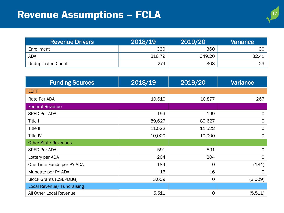# Revenue Assumptions - FCLA



| <b>Revenue Drivers</b> | 2018/19 | 2019/20 |       |
|------------------------|---------|---------|-------|
| Enrollment             | 330     | 360     | 30    |
| <b>ADA</b>             | 316.79  | 349.20  | 32.41 |
| Unduplicated Count     | 274     | 303     | 29    |

| <b>Funding Sources</b>        | 2018/19 | 2019/20     | Variance     |
|-------------------------------|---------|-------------|--------------|
| <b>LCFF</b>                   |         |             |              |
| Rate Per ADA                  | 10,610  | 10,877      | 267          |
| <b>Federal Revenue</b>        |         |             |              |
| SPED Per ADA                  | 199     | 199         | $\mathsf{O}$ |
| Title I                       | 89,627  | 89,627      | $\mathsf{O}$ |
| Title II                      | 11,522  | 11,522      | $\mathbf 0$  |
| <b>Title IV</b>               | 10,000  | 10,000      | $\mathbf 0$  |
| <b>Other State Revenues</b>   |         |             |              |
| <b>SPED Per ADA</b>           | 591     | 591         | $\mathsf{O}$ |
| Lottery per ADA               | 204     | 204         | $\mathbf 0$  |
| One Time Funds per PY ADA     | 184     | $\mathbf 0$ | (184)        |
| Mandate per PY ADA            | 16      | 16          | $\Omega$     |
| <b>Block Grants (CSEPDBG)</b> | 3,009   | $\mathbf 0$ | (3,009)      |
| Local Revenue/ Fundraising    |         |             |              |
| All Other Local Revenue       | 5,511   | 0           | (5,511)      |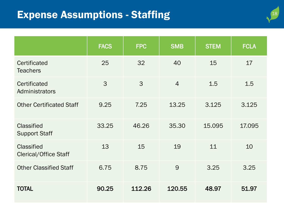### Expense Assumptions - Staffing

| 18 |
|----|
|    |

|                                                   | <b>FACS</b> | <b>FPC</b> | <b>SMB</b>     | <b>STEM</b> | <b>FCLA</b> |
|---------------------------------------------------|-------------|------------|----------------|-------------|-------------|
| Certificated<br><b>Teachers</b>                   | 25          | 32         | 40             | 15          | 17          |
| Certificated<br>Administrators                    | 3           | 3          | $\overline{4}$ | 1.5         | 1.5         |
| <b>Other Certificated Staff</b>                   | 9.25        | 7.25       | 13.25          | 3.125       | 3.125       |
| <b>Classified</b><br><b>Support Staff</b>         | 33.25       | 46.26      | 35.30          | 15.095      | 17.095      |
| <b>Classified</b><br><b>Clerical/Office Staff</b> | 13          | 15         | 19             | 11          | 10          |
| <b>Other Classified Staff</b>                     | 6.75        | 8.75       | 9              | 3.25        | 3.25        |
| <b>TOTAL</b>                                      | 90.25       | 112.26     | 120.55         | 48.97       | 51.97       |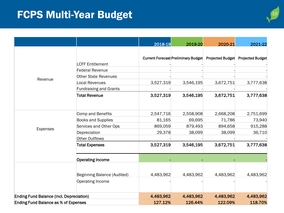## **FCPS Multi-Year Budget**

| ٥<br>۲ |
|--------|
|        |

|                                                 |                               | 2018-19   | 2019-20                                                               | 2020-21   | 2021-22   |
|-------------------------------------------------|-------------------------------|-----------|-----------------------------------------------------------------------|-----------|-----------|
|                                                 |                               |           |                                                                       |           |           |
|                                                 |                               |           | Current Forecast Preliminary Budget Projected Budget Projected Budget |           |           |
|                                                 | <b>LCFF Entitlement</b>       |           |                                                                       |           |           |
|                                                 | <b>Federal Revenue</b>        |           |                                                                       |           |           |
| Revenue                                         | Other State Revenues          |           |                                                                       |           |           |
|                                                 | <b>Local Revenues</b>         | 3,527,319 | 3,546,195                                                             | 3,672,751 | 3,777,638 |
|                                                 | <b>Fundraising and Grants</b> |           |                                                                       |           |           |
|                                                 | <b>Total Revenue</b>          | 3,527,319 | 3,546,195                                                             | 3,672,751 | 3,777,638 |
|                                                 | Comp and Benefits             | 2,547,716 | 2,558,908                                                             | 2,668,208 | 2,751,699 |
|                                                 | <b>Books and Supplies</b>     | 81,165    | 69,695                                                                | 71,786    | 73,940    |
|                                                 | Services and Other Ops        | 869,059   | 879,493                                                               | 894,658   | 915,288   |
| <b>Expenses</b>                                 | Depreciation                  | 29,378    | 38,099                                                                | 38,099    | 36,710    |
|                                                 | Other Outflows                |           |                                                                       |           |           |
|                                                 | <b>Total Expenses</b>         | 3,527,319 | 3,546,195                                                             | 3,672,751 | 3,777,638 |
|                                                 | <b>Operating Income</b>       |           |                                                                       |           |           |
|                                                 | Beginning Balance (Audited)   | 4,483,962 | 4,483,962                                                             | 4,483,962 | 4,483,962 |
|                                                 | Operating Income              |           |                                                                       |           |           |
| <b>Ending Fund Balance (incl. Depreciation)</b> |                               | 4,483,962 | 4,483,962                                                             | 4,483,962 | 4,483,962 |
| <b>Ending Fund Balance as % of Expenses</b>     |                               | 127.12%   | 126.44%                                                               | 122.09%   | 118.70%   |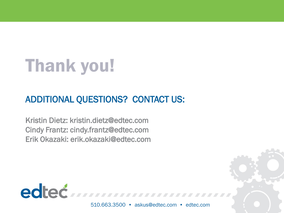# Thank you!

### ADDITIONAL QUESTIONS? CONTACT US:

Kristin Dietz: kristin.dietz@edtec.com Cindy Frantz: cindy.frantz@edtec.com Erik Okazaki: erik.okazaki@edtec.com

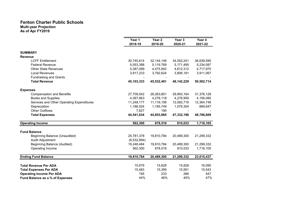#### Fenton Charter Public Schools Multi-year Projection

As of Apr FY2019

|                                           | Year 1<br>2018-19 | Year 2<br>2019-20 | Year 3<br>2020-21 | Year 4<br>2021-22      |
|-------------------------------------------|-------------------|-------------------|-------------------|------------------------|
| <b>SUMMARY</b>                            |                   |                   |                   |                        |
| <b>Revenue</b>                            |                   |                   |                   |                        |
| <b>LCFF Entitlement</b>                   | 30,745,614        | 32, 144, 146      | 34,552,241        | 36,639,590             |
| <b>Federal Revenue</b>                    | 5,053,388         | 5,119,769         | 5,171,495         | 5,234,087              |
| <b>Other State Revenues</b>               | 5,387,099         | 4,475,942         | 4,612,312         | 4,717,970<br>3,911,067 |
| Local Revenues                            | 3,917,233         | 3,792,624         | 3,806,181         |                        |
| <b>Fundraising and Grants</b>             |                   |                   |                   |                        |
| <b>Total Revenue</b>                      | 45,103,333        | 45,532,481        | 48, 142, 229      | 50,502,714             |
| <b>Expenses</b>                           |                   |                   |                   |                        |
| <b>Compensation and Benefits</b>          | 27,709,542        | 28,263,801        | 29,893,164        | 31,376,128             |
| <b>Books and Supplies</b>                 | 4,387,663         | 4,278,118         | 4,276,959         | 4,156,085              |
| Services and Other Operating Expenditures | 11,248,177        | 11,116,106        | 12,082,719        | 12,364,748             |
| Depreciation                              | 1,188,024         | 1,195,749         | 1,079,354         | 889,647                |
| <b>Other Outflows</b>                     | 7,627             | 190               |                   |                        |
| <b>Total Expenses</b>                     | 44,541,034        | 44,853,965        | 47,332,196        | 48,786,609             |
| <b>Operating Income</b>                   | 562,300           | 678,516           | 810,033           | 1,716,105              |
| <b>Fund Balance</b>                       |                   |                   |                   |                        |
| <b>Beginning Balance (Unaudited)</b>      | 25,781,378        | 19,810,784        | 20,489,300        | 21,299,332             |
| Audit Adjustment                          | (6, 532, 894)     |                   |                   |                        |
| <b>Beginning Balance (Audited)</b>        | 19,248,484        | 19,810,784        | 20,489,300        | 21,299,332             |
| Operating Income                          | 562,300           | 678,516           | 810,033           | 1,716,105              |
| <b>Ending Fund Balance</b>                | 19,810,784        | 20,489,300        | 21,299,332        | 23,015,437             |
| <b>Total Revenue Per ADA</b>              | 15,679            | 15,628            | 15,828            | 16,090                 |
| <b>Total Expenses Per ADA</b>             | 15,483            | 15,395            | 15,561            | 15,543                 |
| <b>Operating Income Per ADA</b>           | 195               | 233               | 266               | 547                    |
| Fund Balance as a % of Expenses           | 44%               | 46%               | 45%               | 47%                    |
|                                           |                   |                   |                   |                        |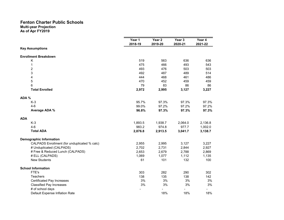|                                              | Year 1  | Year <sub>2</sub> | Year 3  | Year 4  |
|----------------------------------------------|---------|-------------------|---------|---------|
|                                              | 2018-19 | 2019-20           | 2020-21 | 2021-22 |
| <b>Key Assumptions</b>                       |         |                   |         |         |
| <b>Enrollment Breakdown</b>                  |         |                   |         |         |
| K                                            | 519     | 563               | 636     | 636     |
| 1                                            | 475     | 466               | 493     | 543     |
| $\overline{2}$                               | 493     | 476               | 503     | 503     |
| 3                                            | 492     | 487               | 489     | 514     |
| 4                                            | 444     | 468               | 461     | 486     |
| 5                                            | 470     | 452               | 459     | 459     |
| 6                                            | 79      | 83                | 86      | 86      |
| <b>Total Enrolled</b>                        | 2,972   | 2,995             | 3,127   | 3,227   |
| ADA %                                        |         |                   |         |         |
| $K-3$                                        | 95.7%   | 97.3%             | 97.3%   | 97.3%   |
| $4-6$                                        | 99.0%   | 97.2%             | 97.2%   | 97.2%   |
| Average ADA %                                | 96.8%   | 97.3%             | 97.3%   | 97.3%   |
| <b>ADA</b>                                   |         |                   |         |         |
| $K-3$                                        | 1,893.5 | 1,938.7           | 2,064.0 | 2,136.8 |
| $4-6$                                        | 983.2   | 974.8             | 977.7   | 1,002.0 |
| <b>Total ADA</b>                             | 2,876.8 | 2,913.5           | 3,041.7 | 3,138.7 |
| <b>Demographic Information</b>               |         |                   |         |         |
| CALPADS Enrollment (for unduplicated % calc) | 2,955   | 2,995             | 3,127   | 3,227   |
| # Unduplicated (CALPADS)                     | 2,702   | 2,731             | 2,844   | 2,927   |
| # Free & Reduced Lunch (CALPADS)             | 2,653   | 2,679             | 2,788   | 2,869   |
| # ELL (CALPADS)                              | 1,069   | 1,077             | 1,112   | 1,135   |
| <b>New Students</b>                          | 61      | 101               | 132     | 100     |
| <b>School Information</b>                    |         |                   |         |         |
| FTE's                                        | 303     | 282               | 290     | 302     |
| Teachers                                     | 138     | 135               | 138     | 142     |
| <b>Certificated Pay Increases</b>            | 3%      | 3%                | 3%      | 3%      |
| <b>Classified Pay Increases</b>              | 3%      | 3%                | 3%      | 3%      |
| # of school days                             |         |                   |         |         |
| Default Expense Inflation Rate               |         | 18%               | 18%     | 18%     |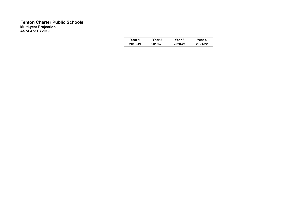| Year 1  | Year 2  | Year 3  | Year 4  |
|---------|---------|---------|---------|
| 2018-19 | 2019-20 | 2020-21 | 2021-22 |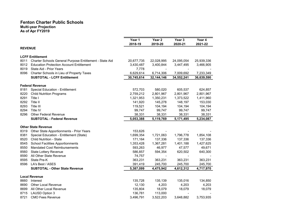#### Fenton Charter Public Schools Multi-year Projection

As of Apr FY2019

|                |                                                         | Year 1<br>2018-19 | Year <sub>2</sub><br>2019-20 | Year <sub>3</sub><br>2020-21 | Year 4<br>2021-22 |
|----------------|---------------------------------------------------------|-------------------|------------------------------|------------------------------|-------------------|
| <b>REVENUE</b> |                                                         |                   |                              |                              |                   |
|                | <b>LCFF Entitlement</b>                                 |                   |                              |                              |                   |
| 8011           | Charter Schools General Purpose Entitlement - State Aid | 20,677,735        | 22,028,995                   | 24,095,054                   | 25,939,336        |
| 8012           | <b>Education Protection Account Entitlement</b>         | 3,430,487         | 3,400,844                    | 3,447,495                    | 3,466,905         |
| 8019           | State Aid - Prior Years                                 | 7,778             |                              |                              |                   |
| 8096           | Charter Schools in Lieu of Property Taxes               | 6,629,614         | 6,714,306                    | 7,009,692                    | 7,233,349         |
|                | <b>SUBTOTAL - LCFF Entitlement</b>                      | 30,745,614        | 32, 144, 146                 | 34,552,241                   | 36,639,590        |
|                | <b>Federal Revenue</b>                                  |                   |                              |                              |                   |
| 8181           | Special Education - Entitlement                         | 572,703           | 580,020                      | 605,537                      | 624,857           |
| 8220           | <b>Child Nutrition Programs</b>                         | 2,759,212         | 2,801,967                    | 2,801,967                    | 2,801,967         |
| 8291           | Title I                                                 | 1,321,953         | 1,350,231                    | 1,373,522                    | 1,411,960         |
| 8292           | Title II                                                | 141,920           | 145,278                      | 148,197                      | 153,030           |
| 8293           | Title III                                               | 119,521           | 104,194                      | 104,194                      | 104,194           |
| 8294           | Title IV                                                | 99,747            | 99,747                       | 99,747                       | 99,747            |
| 8296           | <b>Other Federal Revenue</b>                            | 38,331            | 38,331                       | 38,331                       | 38,331            |
|                | <b>SUBTOTAL - Federal Revenue</b>                       | 5,053,388         | 5,119,769                    | 5,171,495                    | 5,234,087         |
|                | <b>Other State Revenue</b>                              |                   |                              |                              |                   |
| 8319           | Other State Apportionments - Prior Years                | 153,626           |                              |                              |                   |
| 8381           | Special Education - Entitlement (State)                 | 1,699,354         | 1,721,063                    | 1,796,778                    | 1,854,108         |
| 8520           | <b>Child Nutrition - State</b>                          | 171,164           | 137,336                      | 137,336                      | 137,336           |
| 8545           | <b>School Facilities Apportionments</b>                 | 1,353,428         | 1,367,281                    | 1,401,188                    | 1,427,625         |
| 8550           | <b>Mandated Cost Reimbursements</b>                     | 593,263           | 46,977                       | 47,577                       | 49,671            |
| 8560           | <b>State Lottery Revenue</b>                            | 586,857           | 594,354                      | 620,502                      | 640,300           |
| 8590           | All Other State Revenue                                 | 74,757            |                              |                              |                   |
| 8595           | State Pre-K                                             | 363,231           | 363,231                      | 363,231                      | 363,231           |
| 8596           | LA's Best / ASES                                        | 391,419           | 245,700                      | 245,700                      | 245,700           |
|                | <b>SUBTOTAL - Other State Revenue</b>                   | 5,387,099         | 4,475,942                    | 4,612,312                    | 4,717,970         |
|                |                                                         |                   |                              |                              |                   |
| 8660           | <b>Local Revenue</b><br>Interest                        | 135,728           | 135,139                      | 135,016                      | 134,850           |
| 8690           | <b>Other Local Revenue</b>                              | 12,130            | 4,203                        | 4,203                        | 4,203             |
| 8699           | All Other Local Revenue                                 | 135,804           | 18,079                       | 18,079                       | 18,079            |
| 8715           | <b>LAUSD Option 3</b>                                   | 136,781           | 113,000                      |                              |                   |
| 8721           | <b>CMO Fees Revenue</b>                                 | 3,496,791         | 3,522,203                    | 3,648,882                    | 3,753,935         |
|                |                                                         |                   |                              |                              |                   |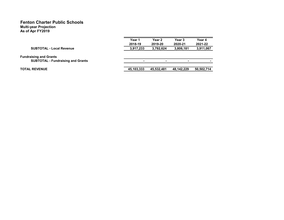| Year 1     | Year 2     | Year 3     | Year 4     |
|------------|------------|------------|------------|
| 2018-19    | 2019-20    | 2020-21    | 2021-22    |
| 3,917,233  | 3,792,624  | 3,806,181  | 3,911,067  |
|            |            |            |            |
|            | -          |            |            |
| 45,103,333 | 45,532,481 | 48.142.229 | 50,502,714 |
|            |            |            |            |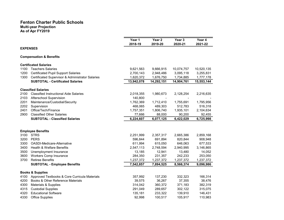|      |                                                  | Year 1     | Year 2     | Year 3     | Year 4     |
|------|--------------------------------------------------|------------|------------|------------|------------|
|      |                                                  | 2018-19    | 2019-20    | 2020-21    | 2021-22    |
|      | <b>EXPENSES</b>                                  |            |            |            |            |
|      | <b>Compensation &amp; Benefits</b>               |            |            |            |            |
|      | <b>Certificated Salaries</b>                     |            |            |            |            |
| 1100 | <b>Teachers Salaries</b>                         | 9,621,563  | 9,666,915  | 10,074,757 | 10,520,135 |
| 1200 | <b>Certificated Pupil Support Salaries</b>       | 2,700,143  | 2,948,486  | 3,095,118  | 3,255,831  |
| 1300 | Certificated Supervisor & Administrator Salaries | 1,620,372  | 1,676,750  | 1,734,885  | 1,777,178  |
|      | <b>SUBTOTAL - Certificated Salaries</b>          | 13,942,078 | 14,292,151 | 14,904,761 | 15,553,144 |
|      | <b>Classified Salaries</b>                       |            |            |            |            |
| 2100 | <b>Classified Instructional Aide Salaries</b>    | 2,018,355  | 1,980,673  | 2,128,254  | 2,216,635  |
| 2103 | Afterschool Supervision                          | 140,800    |            |            |            |
| 2201 | Maintenance/Custodial/Security                   | 1,762,369  | 1,712,410  | 1,755,691  | 1,795,956  |
| 2202 | Supervision                                      | 468,065    | 489,303    | 512,783    | 516,318    |
| 2401 | Office/Tech/Finance                              | 1,757,351  | 1,806,740  | 1,935,101  | 2,104,634  |
| 2900 | <b>Classified Other Salaries</b>                 | 77,666     | 88,000     | 90,200     | 92,455     |
|      | <b>SUBTOTAL - Classified Salaries</b>            | 6,224,607  | 6,077,125  | 6,422,029  | 6,725,998  |
|      |                                                  |            |            |            |            |
|      | <b>Employee Benefits</b>                         |            |            |            |            |
| 3100 | <b>STRS</b>                                      | 2,251,999  | 2,357,317  | 2,665,386  | 2,859,168  |
| 3200 | <b>PERS</b>                                      | 596,844    | 691,894    | 820,844    | 908,948    |
| 3300 | OASDI-Medicare-Alternative                       | 611,994    | 615,050    | 646,063    | 677,533    |
| 3400 | <b>Health &amp; Welfare Benefits</b>             | 2,547,113  | 2,748,594  | 2,940,995  | 3,146,865  |
| 3500 | Unemployment Insurance                           | 13,185     | 12,941     | 13,480     | 14,052     |
| 3600 | <b>Workers Comp Insurance</b>                    | 284,350    | 231,357    | 242,233    | 253,050    |
| 3700 | <b>Retiree Benefits</b>                          | 1,237,372  | 1,237,372  | 1,237,372  | 1,237,372  |
|      | <b>SUBTOTAL - Employee Benefits</b>              | 7,542,857  | 7,894,525  | 8,566,374  | 9,096,986  |
|      | <b>Books &amp; Supplies</b>                      |            |            |            |            |
| 4100 | Approved Textbooks & Core Curricula Materials    | 357,992    | 137,230    | 332,323    | 166,314    |
| 4200 | Books & Other Reference Materials                | 39,575     | 36,267     | 37,355     | 38,476     |
| 4300 | Materials & Supplies                             | 314,042    | 360,372    | 371,183    | 382,319    |
| 4315 | <b>Custodial Supplies</b>                        | 291,049    | 289,657    | 302,122    | 315,075    |
| 4320 | <b>Educational Software</b>                      | 135,181    | 233,322    | 139,910    | 146,431    |
| 4330 | <b>Office Supplies</b>                           | 92.998     | 100,517    | 105,917    | 110,983    |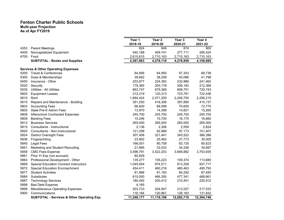| Year 1<br>Year <sub>2</sub><br>Year 3<br>2019-20<br>2018-19<br>2020-21<br>849<br>874<br>824<br>4353<br><b>Parent Meetings</b><br>Noncapitalized Equipment<br>409,741<br>4400<br>540,188<br>277,111<br>4700<br>Food<br>2,615,815<br>2,710,163<br>2,710,163<br>4,276,959<br>4,387,663<br>4,278,118<br><b>SUBTOTAL - Books and Supplies</b><br><b>Services &amp; Other Operating Expenses</b><br><b>Travel &amp; Conferences</b><br>64,856<br>64,950<br>67,343<br>5200<br>Dues & Memberships<br>39,682<br>38,259<br>40,066<br>5300<br>203,977<br>224,393<br>5450<br>Insurance - Other<br>232,886<br>5520<br>Security<br>179,365<br>200,178<br>206,183<br>5535<br><b>Utilities - All Utilities</b><br>663,747<br>679,369<br>699,751<br>212,319<br>120,313<br>723,781<br>5605<br><b>Equipment Leases</b><br>2,071,200<br>2,249,700<br>5610<br>Rent<br>1,894,424<br>5615<br>Repairs and Maintenance - Building<br>416,306<br>351,250<br>397,895<br>5803<br><b>Accounting Fees</b><br>70,655<br>66,600<br>68,598<br>5805<br>State Pre-K Admin Fees<br>13,970<br>14,389<br>14,821<br>5808<br>245,700<br>245,700<br>245,700<br>Afterschool Contracted Expenses<br>5809<br>15,246<br>15,704<br>16,175<br><b>Banking Fees</b><br>5812<br><b>Business Services</b><br>265,000<br>265,000<br>265,000<br>2,306<br>5815<br>Consultants - Instructional<br>2,136<br>2,559<br>121,299<br>92,989<br>5820<br>Consultants - Non-Instructional<br>97,173<br>5824<br>345,522<br><b>District Oversight Fees</b><br>307,456<br>321,441<br>27,773<br>5836<br>Fingerprinting<br>23,952<br>25,462<br>5845<br><b>Legal Fees</b><br>166,051<br>80,708<br>83,130<br>5851<br>Marketing and Student Recruiting<br>21,895<br>33,033<br>34,336<br>5858<br>3,496,791<br>3,522,203<br>3,648,882<br><b>CMO Fees Expense</b><br>Prior Yr Exp (not accrued)<br>60,629<br>5861<br>Professional Development - Other<br>135,277<br>105,223<br>109,374<br>5864<br>5869<br><b>Special Education Contract Instructors</b><br>1,045,654<br>974,511<br>913,258<br>5872<br><b>Special Education Encroachment</b><br>454,411<br>460,216<br>480,463<br><b>Student Activities</b><br>81,896<br>81,183<br>84,292<br>466,350<br>5884<br>Substitutes<br>610,000<br>477,341<br>200,412<br>5887<br>180,492<br>210,451<br><b>Technology Services</b><br>5898<br><b>Bad Debt Expense</b><br>4,185<br>$\blacksquare$<br><b>Miscellaneous Operating Expenses</b><br>203,733<br>204,847<br>212,027<br>5899 |      |                |         |         |         |                   |
|-----------------------------------------------------------------------------------------------------------------------------------------------------------------------------------------------------------------------------------------------------------------------------------------------------------------------------------------------------------------------------------------------------------------------------------------------------------------------------------------------------------------------------------------------------------------------------------------------------------------------------------------------------------------------------------------------------------------------------------------------------------------------------------------------------------------------------------------------------------------------------------------------------------------------------------------------------------------------------------------------------------------------------------------------------------------------------------------------------------------------------------------------------------------------------------------------------------------------------------------------------------------------------------------------------------------------------------------------------------------------------------------------------------------------------------------------------------------------------------------------------------------------------------------------------------------------------------------------------------------------------------------------------------------------------------------------------------------------------------------------------------------------------------------------------------------------------------------------------------------------------------------------------------------------------------------------------------------------------------------------------------------------------------------------------------------------------------------------------------------------------------------------------------------------------------------------------------------------------------------------------------------------------------------------------------------------------------------------------------------------------------------------------------------------------------------------|------|----------------|---------|---------|---------|-------------------|
|                                                                                                                                                                                                                                                                                                                                                                                                                                                                                                                                                                                                                                                                                                                                                                                                                                                                                                                                                                                                                                                                                                                                                                                                                                                                                                                                                                                                                                                                                                                                                                                                                                                                                                                                                                                                                                                                                                                                                                                                                                                                                                                                                                                                                                                                                                                                                                                                                                               |      |                |         |         |         | Year 4<br>2021-22 |
|                                                                                                                                                                                                                                                                                                                                                                                                                                                                                                                                                                                                                                                                                                                                                                                                                                                                                                                                                                                                                                                                                                                                                                                                                                                                                                                                                                                                                                                                                                                                                                                                                                                                                                                                                                                                                                                                                                                                                                                                                                                                                                                                                                                                                                                                                                                                                                                                                                               |      |                |         |         |         | 900               |
|                                                                                                                                                                                                                                                                                                                                                                                                                                                                                                                                                                                                                                                                                                                                                                                                                                                                                                                                                                                                                                                                                                                                                                                                                                                                                                                                                                                                                                                                                                                                                                                                                                                                                                                                                                                                                                                                                                                                                                                                                                                                                                                                                                                                                                                                                                                                                                                                                                               |      |                |         |         |         | 285,424           |
|                                                                                                                                                                                                                                                                                                                                                                                                                                                                                                                                                                                                                                                                                                                                                                                                                                                                                                                                                                                                                                                                                                                                                                                                                                                                                                                                                                                                                                                                                                                                                                                                                                                                                                                                                                                                                                                                                                                                                                                                                                                                                                                                                                                                                                                                                                                                                                                                                                               |      |                |         |         |         | 2,710,163         |
|                                                                                                                                                                                                                                                                                                                                                                                                                                                                                                                                                                                                                                                                                                                                                                                                                                                                                                                                                                                                                                                                                                                                                                                                                                                                                                                                                                                                                                                                                                                                                                                                                                                                                                                                                                                                                                                                                                                                                                                                                                                                                                                                                                                                                                                                                                                                                                                                                                               |      |                |         |         |         | 4,156,085         |
|                                                                                                                                                                                                                                                                                                                                                                                                                                                                                                                                                                                                                                                                                                                                                                                                                                                                                                                                                                                                                                                                                                                                                                                                                                                                                                                                                                                                                                                                                                                                                                                                                                                                                                                                                                                                                                                                                                                                                                                                                                                                                                                                                                                                                                                                                                                                                                                                                                               |      |                |         |         |         |                   |
|                                                                                                                                                                                                                                                                                                                                                                                                                                                                                                                                                                                                                                                                                                                                                                                                                                                                                                                                                                                                                                                                                                                                                                                                                                                                                                                                                                                                                                                                                                                                                                                                                                                                                                                                                                                                                                                                                                                                                                                                                                                                                                                                                                                                                                                                                                                                                                                                                                               |      |                |         |         |         | 69,738            |
|                                                                                                                                                                                                                                                                                                                                                                                                                                                                                                                                                                                                                                                                                                                                                                                                                                                                                                                                                                                                                                                                                                                                                                                                                                                                                                                                                                                                                                                                                                                                                                                                                                                                                                                                                                                                                                                                                                                                                                                                                                                                                                                                                                                                                                                                                                                                                                                                                                               |      |                |         |         |         | 41,798            |
|                                                                                                                                                                                                                                                                                                                                                                                                                                                                                                                                                                                                                                                                                                                                                                                                                                                                                                                                                                                                                                                                                                                                                                                                                                                                                                                                                                                                                                                                                                                                                                                                                                                                                                                                                                                                                                                                                                                                                                                                                                                                                                                                                                                                                                                                                                                                                                                                                                               |      |                |         |         |         | 241,462           |
|                                                                                                                                                                                                                                                                                                                                                                                                                                                                                                                                                                                                                                                                                                                                                                                                                                                                                                                                                                                                                                                                                                                                                                                                                                                                                                                                                                                                                                                                                                                                                                                                                                                                                                                                                                                                                                                                                                                                                                                                                                                                                                                                                                                                                                                                                                                                                                                                                                               |      |                |         |         |         | 212,368           |
|                                                                                                                                                                                                                                                                                                                                                                                                                                                                                                                                                                                                                                                                                                                                                                                                                                                                                                                                                                                                                                                                                                                                                                                                                                                                                                                                                                                                                                                                                                                                                                                                                                                                                                                                                                                                                                                                                                                                                                                                                                                                                                                                                                                                                                                                                                                                                                                                                                               |      |                |         |         |         | 720,743           |
|                                                                                                                                                                                                                                                                                                                                                                                                                                                                                                                                                                                                                                                                                                                                                                                                                                                                                                                                                                                                                                                                                                                                                                                                                                                                                                                                                                                                                                                                                                                                                                                                                                                                                                                                                                                                                                                                                                                                                                                                                                                                                                                                                                                                                                                                                                                                                                                                                                               |      |                |         |         |         | 722,436           |
|                                                                                                                                                                                                                                                                                                                                                                                                                                                                                                                                                                                                                                                                                                                                                                                                                                                                                                                                                                                                                                                                                                                                                                                                                                                                                                                                                                                                                                                                                                                                                                                                                                                                                                                                                                                                                                                                                                                                                                                                                                                                                                                                                                                                                                                                                                                                                                                                                                               |      |                |         |         |         | 2,256,210         |
|                                                                                                                                                                                                                                                                                                                                                                                                                                                                                                                                                                                                                                                                                                                                                                                                                                                                                                                                                                                                                                                                                                                                                                                                                                                                                                                                                                                                                                                                                                                                                                                                                                                                                                                                                                                                                                                                                                                                                                                                                                                                                                                                                                                                                                                                                                                                                                                                                                               |      |                |         |         |         | 415,137           |
|                                                                                                                                                                                                                                                                                                                                                                                                                                                                                                                                                                                                                                                                                                                                                                                                                                                                                                                                                                                                                                                                                                                                                                                                                                                                                                                                                                                                                                                                                                                                                                                                                                                                                                                                                                                                                                                                                                                                                                                                                                                                                                                                                                                                                                                                                                                                                                                                                                               |      |                |         |         |         | 72,775            |
|                                                                                                                                                                                                                                                                                                                                                                                                                                                                                                                                                                                                                                                                                                                                                                                                                                                                                                                                                                                                                                                                                                                                                                                                                                                                                                                                                                                                                                                                                                                                                                                                                                                                                                                                                                                                                                                                                                                                                                                                                                                                                                                                                                                                                                                                                                                                                                                                                                               |      |                |         |         |         | 15,265            |
|                                                                                                                                                                                                                                                                                                                                                                                                                                                                                                                                                                                                                                                                                                                                                                                                                                                                                                                                                                                                                                                                                                                                                                                                                                                                                                                                                                                                                                                                                                                                                                                                                                                                                                                                                                                                                                                                                                                                                                                                                                                                                                                                                                                                                                                                                                                                                                                                                                               |      |                |         |         |         | 245,700           |
|                                                                                                                                                                                                                                                                                                                                                                                                                                                                                                                                                                                                                                                                                                                                                                                                                                                                                                                                                                                                                                                                                                                                                                                                                                                                                                                                                                                                                                                                                                                                                                                                                                                                                                                                                                                                                                                                                                                                                                                                                                                                                                                                                                                                                                                                                                                                                                                                                                               |      |                |         |         |         | 16,660            |
|                                                                                                                                                                                                                                                                                                                                                                                                                                                                                                                                                                                                                                                                                                                                                                                                                                                                                                                                                                                                                                                                                                                                                                                                                                                                                                                                                                                                                                                                                                                                                                                                                                                                                                                                                                                                                                                                                                                                                                                                                                                                                                                                                                                                                                                                                                                                                                                                                                               |      |                |         |         |         | 265,000           |
|                                                                                                                                                                                                                                                                                                                                                                                                                                                                                                                                                                                                                                                                                                                                                                                                                                                                                                                                                                                                                                                                                                                                                                                                                                                                                                                                                                                                                                                                                                                                                                                                                                                                                                                                                                                                                                                                                                                                                                                                                                                                                                                                                                                                                                                                                                                                                                                                                                               |      |                |         |         |         | 2,824             |
|                                                                                                                                                                                                                                                                                                                                                                                                                                                                                                                                                                                                                                                                                                                                                                                                                                                                                                                                                                                                                                                                                                                                                                                                                                                                                                                                                                                                                                                                                                                                                                                                                                                                                                                                                                                                                                                                                                                                                                                                                                                                                                                                                                                                                                                                                                                                                                                                                                               |      |                |         |         |         | 101,407           |
|                                                                                                                                                                                                                                                                                                                                                                                                                                                                                                                                                                                                                                                                                                                                                                                                                                                                                                                                                                                                                                                                                                                                                                                                                                                                                                                                                                                                                                                                                                                                                                                                                                                                                                                                                                                                                                                                                                                                                                                                                                                                                                                                                                                                                                                                                                                                                                                                                                               |      |                |         |         |         | 366,396           |
|                                                                                                                                                                                                                                                                                                                                                                                                                                                                                                                                                                                                                                                                                                                                                                                                                                                                                                                                                                                                                                                                                                                                                                                                                                                                                                                                                                                                                                                                                                                                                                                                                                                                                                                                                                                                                                                                                                                                                                                                                                                                                                                                                                                                                                                                                                                                                                                                                                               |      |                |         |         |         | 30,005            |
|                                                                                                                                                                                                                                                                                                                                                                                                                                                                                                                                                                                                                                                                                                                                                                                                                                                                                                                                                                                                                                                                                                                                                                                                                                                                                                                                                                                                                                                                                                                                                                                                                                                                                                                                                                                                                                                                                                                                                                                                                                                                                                                                                                                                                                                                                                                                                                                                                                               |      |                |         |         |         | 85,623            |
|                                                                                                                                                                                                                                                                                                                                                                                                                                                                                                                                                                                                                                                                                                                                                                                                                                                                                                                                                                                                                                                                                                                                                                                                                                                                                                                                                                                                                                                                                                                                                                                                                                                                                                                                                                                                                                                                                                                                                                                                                                                                                                                                                                                                                                                                                                                                                                                                                                               |      |                |         |         |         | 35,687            |
|                                                                                                                                                                                                                                                                                                                                                                                                                                                                                                                                                                                                                                                                                                                                                                                                                                                                                                                                                                                                                                                                                                                                                                                                                                                                                                                                                                                                                                                                                                                                                                                                                                                                                                                                                                                                                                                                                                                                                                                                                                                                                                                                                                                                                                                                                                                                                                                                                                               |      |                |         |         |         | 3,753,935         |
|                                                                                                                                                                                                                                                                                                                                                                                                                                                                                                                                                                                                                                                                                                                                                                                                                                                                                                                                                                                                                                                                                                                                                                                                                                                                                                                                                                                                                                                                                                                                                                                                                                                                                                                                                                                                                                                                                                                                                                                                                                                                                                                                                                                                                                                                                                                                                                                                                                               |      |                |         |         |         |                   |
|                                                                                                                                                                                                                                                                                                                                                                                                                                                                                                                                                                                                                                                                                                                                                                                                                                                                                                                                                                                                                                                                                                                                                                                                                                                                                                                                                                                                                                                                                                                                                                                                                                                                                                                                                                                                                                                                                                                                                                                                                                                                                                                                                                                                                                                                                                                                                                                                                                               |      |                |         |         |         | 113,680           |
|                                                                                                                                                                                                                                                                                                                                                                                                                                                                                                                                                                                                                                                                                                                                                                                                                                                                                                                                                                                                                                                                                                                                                                                                                                                                                                                                                                                                                                                                                                                                                                                                                                                                                                                                                                                                                                                                                                                                                                                                                                                                                                                                                                                                                                                                                                                                                                                                                                               |      |                |         |         |         | 937,717           |
|                                                                                                                                                                                                                                                                                                                                                                                                                                                                                                                                                                                                                                                                                                                                                                                                                                                                                                                                                                                                                                                                                                                                                                                                                                                                                                                                                                                                                                                                                                                                                                                                                                                                                                                                                                                                                                                                                                                                                                                                                                                                                                                                                                                                                                                                                                                                                                                                                                               |      |                |         |         |         | 495,793           |
|                                                                                                                                                                                                                                                                                                                                                                                                                                                                                                                                                                                                                                                                                                                                                                                                                                                                                                                                                                                                                                                                                                                                                                                                                                                                                                                                                                                                                                                                                                                                                                                                                                                                                                                                                                                                                                                                                                                                                                                                                                                                                                                                                                                                                                                                                                                                                                                                                                               | 5877 |                |         |         |         | 87,450            |
|                                                                                                                                                                                                                                                                                                                                                                                                                                                                                                                                                                                                                                                                                                                                                                                                                                                                                                                                                                                                                                                                                                                                                                                                                                                                                                                                                                                                                                                                                                                                                                                                                                                                                                                                                                                                                                                                                                                                                                                                                                                                                                                                                                                                                                                                                                                                                                                                                                               |      |                |         |         |         | 488,661           |
|                                                                                                                                                                                                                                                                                                                                                                                                                                                                                                                                                                                                                                                                                                                                                                                                                                                                                                                                                                                                                                                                                                                                                                                                                                                                                                                                                                                                                                                                                                                                                                                                                                                                                                                                                                                                                                                                                                                                                                                                                                                                                                                                                                                                                                                                                                                                                                                                                                               |      |                |         |         |         | 220,912           |
|                                                                                                                                                                                                                                                                                                                                                                                                                                                                                                                                                                                                                                                                                                                                                                                                                                                                                                                                                                                                                                                                                                                                                                                                                                                                                                                                                                                                                                                                                                                                                                                                                                                                                                                                                                                                                                                                                                                                                                                                                                                                                                                                                                                                                                                                                                                                                                                                                                               |      |                |         |         |         |                   |
|                                                                                                                                                                                                                                                                                                                                                                                                                                                                                                                                                                                                                                                                                                                                                                                                                                                                                                                                                                                                                                                                                                                                                                                                                                                                                                                                                                                                                                                                                                                                                                                                                                                                                                                                                                                                                                                                                                                                                                                                                                                                                                                                                                                                                                                                                                                                                                                                                                               |      |                |         |         |         | 217,533           |
|                                                                                                                                                                                                                                                                                                                                                                                                                                                                                                                                                                                                                                                                                                                                                                                                                                                                                                                                                                                                                                                                                                                                                                                                                                                                                                                                                                                                                                                                                                                                                                                                                                                                                                                                                                                                                                                                                                                                                                                                                                                                                                                                                                                                                                                                                                                                                                                                                                               | 5900 | Communications | 116,184 | 120,861 | 126,183 | 131,832           |
| <b>SUBTOTAL - Services &amp; Other Operating Exp.</b><br>11,248,177<br>11,116,106<br>12,082,719                                                                                                                                                                                                                                                                                                                                                                                                                                                                                                                                                                                                                                                                                                                                                                                                                                                                                                                                                                                                                                                                                                                                                                                                                                                                                                                                                                                                                                                                                                                                                                                                                                                                                                                                                                                                                                                                                                                                                                                                                                                                                                                                                                                                                                                                                                                                               |      |                |         |         |         | 12,364,748        |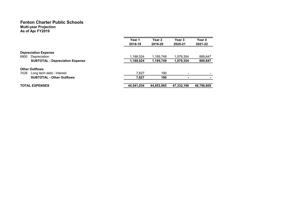#### Fenton Charter Public Schools Multi-year Projection

As of Apr FY2019

|                                        | Year 1<br>2018-19 | Year <sub>2</sub><br>2019-20 | Year <sub>3</sub><br>2020-21 | Year 4<br>2021-22        |
|----------------------------------------|-------------------|------------------------------|------------------------------|--------------------------|
| <b>Depreciation Expense</b>            |                   |                              |                              |                          |
| 6900<br>Depreciation                   | 1,188,024         | 1,195,749                    | 1,079,354                    | 889,647                  |
| <b>SUBTOTAL - Depreciation Expense</b> | 1,188,024         | 1,195,749                    | 1,079,354                    | 889,647                  |
| <b>Other Outflows</b>                  |                   |                              |                              |                          |
| 7438<br>Long term debt - Interest      | 7.627             | 190                          | $\overline{\phantom{0}}$     | $\overline{\phantom{0}}$ |
| <b>SUBTOTAL - Other Outflows</b>       | 7,627             | 190                          | ٠                            |                          |
| <b>TOTAL EXPENSES</b>                  | 44,541,034        | 44,853,965                   | 47,332,196                   | 48,786,609               |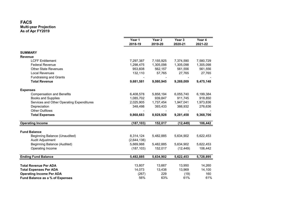### FACS

|                                           | Year 1<br>2018-19 | Year <sub>2</sub><br>2019-20 | Year 3<br>2020-21 | Year 4<br>2021-22 |
|-------------------------------------------|-------------------|------------------------------|-------------------|-------------------|
| <b>SUMMARY</b>                            |                   |                              |                   |                   |
| <b>Revenue</b>                            |                   |                              |                   |                   |
| <b>LCFF Entitlement</b>                   | 7,297,387         | 7,155,925                    | 7,374,590         | 7,580,729         |
| <b>Federal Revenue</b>                    | 1,298,475         | 1,305,098                    | 1,305,098         | 1,305,098         |
| <b>Other State Revenues</b>               | 953,608           | 562,157                      | 561,556           | 561,556           |
| <b>Local Revenues</b>                     | 132,110           | 57,765                       | 27,765            | 27,765            |
| <b>Fundraising and Grants</b>             |                   |                              |                   |                   |
| <b>Total Revenue</b>                      | 9,681,581         | 9,080,945                    | 9,269,009         | 9,475,148         |
| <b>Expenses</b>                           |                   |                              |                   |                   |
| <b>Compensation and Benefits</b>          | 6,408,578         | 5,858,194                    | 6,055,740         | 6,199,384         |
| <b>Books and Supplies</b>                 | 1,085,702         | 939,847                      | 911,745           | 918,850           |
| Services and Other Operating Expenditures | 2,025,905         | 1,737,454                    | 1,947,041         | 1,973,836         |
| Depreciation                              | 348,498           | 393,433                      | 366,932           | 276,636           |
| <b>Other Outflows</b>                     |                   |                              |                   |                   |
| <b>Total Expenses</b>                     | 9,868,683         | 8,928,928                    | 9,281,458         | 9,368,706         |
| <b>Operating Income</b>                   | (187, 103)        | 152,017                      | (12, 449)         | 106,442           |
| <b>Fund Balance</b>                       |                   |                              |                   |                   |
| Beginning Balance (Unaudited)             | 8,314,124         | 5,482,885                    | 5,634,902         | 5,622,453         |
| Audit Adjustment                          | (2,644,136)       |                              |                   |                   |
| Beginning Balance (Audited)               | 5,669,988         | 5,482,885                    | 5,634,902         | 5,622,453         |
| Operating Income                          | (187, 103)        | 152,017                      | (12, 449)         | 106,442           |
| <b>Ending Fund Balance</b>                | 5,482,885         | 5,634,902                    | 5,622,453         | 5,728,895         |
|                                           |                   |                              |                   |                   |
| <b>Total Revenue Per ADA</b>              | 13,807            | 13,667                       | 13,950            | 14,260            |
| <b>Total Expenses Per ADA</b>             | 14,073            | 13,438                       | 13,969            | 14,100            |
| <b>Operating Income Per ADA</b>           | (267)             | 229                          | (19)              | 160               |
| Fund Balance as a % of Expenses           | 56%               | 63%                          | 61%               | 61%               |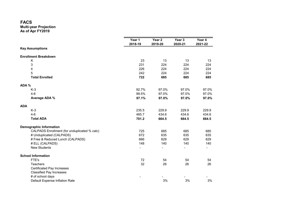#### FACS

#### Multi-year Projection

As of Apr FY2019

|                                              | Year 1<br>2018-19 | Year 2<br>2019-20 | Year 3<br>2020-21 | Year 4<br>2021-22 |
|----------------------------------------------|-------------------|-------------------|-------------------|-------------------|
| <b>Key Assumptions</b>                       |                   |                   |                   |                   |
| <b>Enrollment Breakdown</b>                  |                   |                   |                   |                   |
| Κ                                            | 23                | 13                | 13                | 13                |
| 3                                            | 231               | 224               | 224               | 224               |
| 4                                            | 226               | 224               | 224               | 224               |
| 5                                            | 242               | 224               | 224               | 224               |
| <b>Total Enrolled</b>                        | 722               | 685               | 685               | 685               |
| ADA %                                        |                   |                   |                   |                   |
| $K-3$                                        | 92.7%             | 97.0%             | 97.0%             | 97.0%             |
| $4 - 6$                                      | 99.5%             | 97.0%             | 97.0%             | 97.0%             |
| Average ADA %                                | 97.1%             | 97.0%             | 97.0%             | 97.0%             |
| <b>ADA</b>                                   |                   |                   |                   |                   |
| $K-3$                                        | 235.5             | 229.9             | 229.9             | 229.9             |
| $4-6$                                        | 465.7             | 434.6             | 434.6             | 434.6             |
| <b>Total ADA</b>                             | 701.2             | 664.5             | 664.5             | 664.5             |
| <b>Demographic Information</b>               |                   |                   |                   |                   |
| CALPADS Enrollment (for unduplicated % calc) | 725               | 685               | 685               | 685               |
| # Unduplicated (CALPADS)                     | 672               | 635               | 635               | 635               |
| # Free & Reduced Lunch (CALPADS)             | 666               | 629               | 629               | 629               |
| # ELL (CALPADS)                              | 148               | 140               | 140               | 140               |
| <b>New Students</b>                          |                   |                   |                   |                   |
| <b>School Information</b>                    |                   |                   |                   |                   |
| FTE's                                        | 72                | 54                | 54                | 54                |
| <b>Teachers</b>                              | 32                | 26                | 26                | 26                |
| <b>Certificated Pay Increases</b>            |                   |                   |                   |                   |
| <b>Classified Pay Increases</b>              |                   |                   |                   |                   |
| # of school days                             |                   |                   |                   |                   |
| Default Expense Inflation Rate               |                   | 3%                | 3%                | 3%                |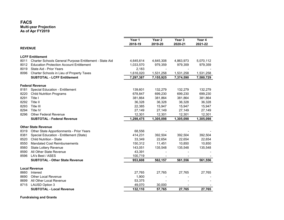|                |                                                         | Year 1    | Year 2    | Year 3    | Year 4    |
|----------------|---------------------------------------------------------|-----------|-----------|-----------|-----------|
|                |                                                         | 2018-19   | 2019-20   | 2020-21   | 2021-22   |
| <b>REVENUE</b> |                                                         |           |           |           |           |
|                | <b>LCFF Entitlement</b>                                 |           |           |           |           |
| 8011           | Charter Schools General Purpose Entitlement - State Aid | 4,645,614 | 4,645,308 | 4,863,973 | 5,070,112 |
| 8012           | <b>Education Protection Account Entitlement</b>         | 1,033,570 | 979,359   | 979,359   | 979,359   |
| 8019           | State Aid - Prior Years                                 | 2,183     |           |           |           |
| 8096           | Charter Schools in Lieu of Property Taxes               | 1,616,020 | 1,531,258 | 1,531,258 | 1,531,258 |
|                | <b>SUBTOTAL - LCFF Entitlement</b>                      | 7,297,387 | 7,155,925 | 7,374,590 | 7,580,729 |
|                | <b>Federal Revenue</b>                                  |           |           |           |           |
| 8181           | Special Education - Entitlement                         | 139,601   | 132,279   | 132,279   | 132,279   |
| 8220           | <b>Child Nutrition Programs</b>                         | 678,847   | 699,230   | 699,230   | 699,230   |
| 8291           | Title I                                                 | 381,864   | 381,864   | 381,864   | 381,864   |
| 8292           | Title II                                                | 36,328    | 36,328    | 36,328    | 36,328    |
| 8293           | Title III                                               | 22,385    | 15,947    | 15,947    | 15,947    |
| 8294           | Title IV                                                | 27,149    | 27,149    | 27,149    | 27,149    |
| 8296           | <b>Other Federal Revenue</b>                            | 12,301    | 12,301    | 12,301    | 12,301    |
|                | <b>SUBTOTAL - Federal Revenue</b>                       | 1,298,475 | 1,305,098 | 1,305,098 | 1,305,098 |
|                | <b>Other State Revenue</b>                              |           |           |           |           |
| 8319           | Other State Apportionments - Prior Years                | 68,556    |           |           |           |
| 8381           | Special Education - Entitlement (State)                 | 414,231   | 392,504   | 392,504   | 392,504   |
| 8520           | <b>Child Nutrition - State</b>                          | 33,349    | 22,654    | 22,654    | 22,654    |
| 8550           | Mandated Cost Reimbursements                            | 150,312   | 11,451    | 10,850    | 10,850    |
| 8560           | <b>State Lottery Revenue</b>                            | 143,051   | 135,548   | 135,548   | 135,548   |
| 8590           | All Other State Revenue                                 | 43,391    |           |           |           |
| 8596           | LA's Best / ASES                                        | 100,719   |           |           |           |
|                | <b>SUBTOTAL - Other State Revenue</b>                   | 953,608   | 562,157   | 561,556   | 561,556   |
|                | <b>Local Revenue</b>                                    |           |           |           |           |
| 8660           | Interest                                                | 27,765    | 27,765    | 27,765    | 27,765    |
| 8690           | <b>Other Local Revenue</b>                              | 1,900     |           |           |           |
| 8699           | All Other Local Revenue                                 | 53,375    |           |           |           |
| 8715           | <b>LAUSD Option 3</b>                                   | 49,070    | 30,000    |           |           |
|                | <b>SUBTOTAL - Local Revenue</b>                         | 132,110   | 57,765    | 27,765    | 27,765    |

Fundraising and Grants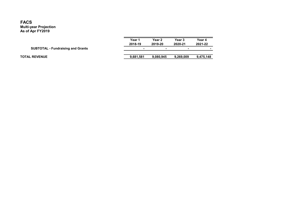|                                          | Year 1<br>2018-19        | Year 2<br>2019-20 | Year 3<br>2020-21 | Year 4<br>2021-22 |
|------------------------------------------|--------------------------|-------------------|-------------------|-------------------|
| <b>SUBTOTAL - Fundraising and Grants</b> | $\overline{\phantom{0}}$ |                   | ۰                 |                   |
| <b>TOTAL REVENUE</b>                     | 9.681.581                | 9.080.945         | 9.269.009         | 9,475,148         |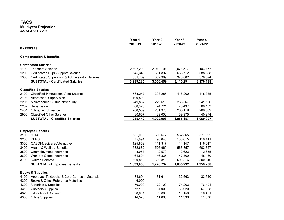|      |                                                  | Year 1    | Year 2                   | Year 3    | Year 4    |
|------|--------------------------------------------------|-----------|--------------------------|-----------|-----------|
|      |                                                  | 2018-19   | 2019-20                  | 2020-21   | 2021-22   |
|      | <b>EXPENSES</b>                                  |           |                          |           |           |
|      | <b>Compensation &amp; Benefits</b>               |           |                          |           |           |
|      | <b>Certificated Salaries</b>                     |           |                          |           |           |
| 1100 | <b>Teachers Salaries</b>                         | 2,392,200 | 2,042,194                | 2,073,577 | 2,103,457 |
| 1200 | <b>Certificated Pupil Support Salaries</b>       | 545,346   | 651,897                  | 668,712   | 688,338   |
| 1300 | Certificated Supervisor & Administrator Salaries | 351,739   | 362,369                  | 373,002   | 378,394   |
|      | <b>SUBTOTAL - Certificated Salaries</b>          | 3,289,285 | 3,056,459                | 3,115,291 | 3,170,188 |
|      | <b>Classified Salaries</b>                       |           |                          |           |           |
| 2100 | <b>Classified Instructional Aide Salaries</b>    | 563,247   | 398,285                  | 416,260   | 418,335   |
| 2103 | Afterschool Supervision                          | 100,800   | $\overline{\phantom{a}}$ |           |           |
| 2201 | Maintenance/Custodial/Security                   | 249,832   | 229,616                  | 235,367   | 241,126   |
| 2202 | Supervision                                      | 60,328    | 74,721                   | 78,437    | 80,103    |
| 2401 | Office/Tech/Finance                              | 280,569   | 281,376                  | 285,119   | 289,369   |
| 2900 | <b>Classified Other Salaries</b>                 | 30,667    | 39,000                   | 39,975    | 40,974    |
|      | <b>SUBTOTAL - Classified Salaries</b>            | 1,285,442 | 1,022,998                | 1,055,157 | 1,069,907 |
|      |                                                  |           |                          |           |           |
|      | <b>Employee Benefits</b>                         |           |                          |           |           |
| 3100 | <b>STRS</b>                                      | 531,039   | 500,677                  | 552,865   | 577,902   |
| 3200 | <b>PERS</b>                                      | 75,894    | 90,043                   | 103,615   | 110,411   |
| 3300 | OASDI-Medicare-Alternative                       | 125,859   | 111,317                  | 114,147   | 116,017   |
| 3400 | <b>Health &amp; Welfare Benefits</b>             | 532,682   | 526,969                  | 563,857   | 603,327   |
| 3500 | Unemployment Insurance                           | 3,057     | 2,579                    | 2,623     | 2,655     |
| 3600 | <b>Workers Comp Insurance</b>                    | 64,504    | 46,335                   | 47,369    | 48,160    |
| 3700 | <b>Retiree Benefits</b>                          | 500,816   | 500,816                  | 500,816   | 500,816   |
|      | <b>SUBTOTAL - Employee Benefits</b>              | 1,833,850 | 1,778,737                | 1,885,292 | 1,959,288 |
|      | <b>Books &amp; Supplies</b>                      |           |                          |           |           |
| 4100 | Approved Textbooks & Core Curricula Materials    | 38,694    | 31,614                   | 32,563    | 33,540    |
| 4200 | Books & Other Reference Materials                | 6,000     |                          |           |           |
| 4300 | Materials & Supplies                             | 70,000    | 72,100                   | 74,263    | 76,491    |
| 4315 | <b>Custodial Supplies</b>                        | 72,100    | 64,000                   | 65,920    | 67,898    |
| 4320 | <b>Educational Software</b>                      | 28,091    | 9,860                    | 10,156    | 10,461    |
| 4330 | <b>Office Supplies</b>                           | 14,570    | 11,000                   | 11,330    | 11,670    |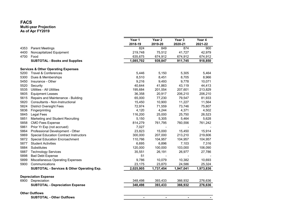#### FACS

|      |                                                       | Year 1    | Year 2         | Year 3         | Year 4    |
|------|-------------------------------------------------------|-----------|----------------|----------------|-----------|
|      |                                                       | 2018-19   | 2019-20        | 2020-21        | 2021-22   |
| 4353 | <b>Parent Meetings</b>                                | 824       | 849            | 874            | 900       |
| 4400 | Noncapitalized Equipment                              | 219,748   | 75,512         | 41,727         | 42,979    |
| 4700 | Food                                                  | 635,675   | 674,912        | 674,912        | 674,912   |
|      | <b>SUBTOTAL - Books and Supplies</b>                  | 1,085,702 | 939,847        | 911,745        | 918,850   |
|      | <b>Services &amp; Other Operating Expenses</b>        |           |                |                |           |
| 5200 | <b>Travel &amp; Conferences</b>                       | 5,446     | 5,150          | 5,305          | 5,464     |
| 5300 | Dues & Memberships                                    | 8,510     | 8,451          | 8,705          | 8,966     |
| 5450 | Insurance - Other                                     | 9,216     | 9,493          | 9,778          | 10,071    |
| 5520 | Security                                              | 40,644    | 41,863         | 43,119         | 44,413    |
| 5535 | <b>Utilities - All Utilities</b>                      | 195,684   | 201,554        | 207,601        | 213,829   |
| 5605 | <b>Equipment Leases</b>                               | 36,358    | 20,917         | 206,210        | 206,210   |
| 5615 | Repairs and Maintenance - Building                    | 65,000    | 77,230         | 79,547         | 81,933    |
| 5820 | Consultants - Non-Instructional                       | 15,450    | 10,900         | 11,227         | 11,564    |
| 5824 | <b>District Oversight Fees</b>                        | 72,974    | 71,559         | 73,746         | 75,807    |
| 5836 | Fingerprinting                                        | 4,120     | 4,244          | 4,371          | 4,502     |
| 5845 | <b>Legal Fees</b>                                     | 116,200   | 25,000         | 25,750         | 26,523    |
| 5851 | Marketing and Student Recruiting                      | 5,150     | 5,305          | 5,464          | 5,628     |
| 5858 | <b>CMO Fees Expense</b>                               | 814,279   | 761,795        | 760,556        | 761,242   |
| 5861 | Prior Yr Exp (not accrued)                            | 7,027     |                |                |           |
| 5864 | Professional Development - Other                      | 23,823    | 15,000         | 15,450         | 15,914    |
| 5869 | <b>Special Education Contract Instructors</b>         | 300,000   | 207,000        | 213,210        | 219,606   |
| 5872 | Special Education Encroachment                        | 110,766   | 104,957        | 104,957        | 104,957   |
| 5877 | <b>Student Activities</b>                             | 6,695     | 6,896          | 7,103          | 7,316     |
| 5884 | Substitutes                                           | 120,000   | 100,000        | 103,000        | 106,090   |
| 5887 | <b>Technology Services</b>                            | 35,551    | 26,191         | 26,977         | 27,786    |
| 5898 | <b>Bad Debt Expense</b>                               | 51        |                |                |           |
| 5899 | <b>Miscellaneous Operating Expenses</b>               | 9,786     | 10,079         | 10,382         | 10,693    |
| 5900 | Communications                                        | 23,175    | 23,870         | 24,586         | 25,324    |
|      | <b>SUBTOTAL - Services &amp; Other Operating Exp.</b> | 2,025,905 | 1,737,454      | 1,947,041      | 1,973,836 |
|      | <b>Depreciation Expense</b>                           |           |                |                |           |
| 6900 | Depreciation                                          | 348,498   | 393,433        | 366,932        | 276,636   |
|      | <b>SUBTOTAL - Depreciation Expense</b>                | 348,498   | 393,433        | 366,932        | 276,636   |
|      | <b>Other Outflows</b>                                 |           |                |                |           |
|      | <b>SUBTOTAL - Other Outflows</b>                      |           | $\blacksquare$ | $\blacksquare$ |           |
|      |                                                       |           |                |                |           |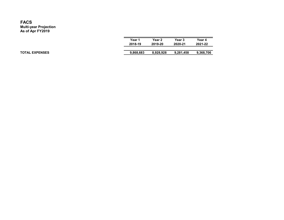| Year 1<br>2018-19 | Year 2<br>2019-20 | Year 3<br>2020-21 | Year 4<br>2021-22 |
|-------------------|-------------------|-------------------|-------------------|
|                   |                   |                   |                   |
| 9,868,683         | 8,928,928         | 9,281,458         | 9,368,706         |

TOTAL EXPENSES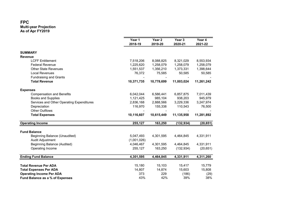|                                                      | Year 1<br>2018-19  | Year 2<br>2019-20 | Year 3<br>2020-21 | Year 4<br>2021-22 |
|------------------------------------------------------|--------------------|-------------------|-------------------|-------------------|
|                                                      |                    |                   |                   |                   |
| <b>SUMMARY</b>                                       |                    |                   |                   |                   |
| <b>Revenue</b>                                       |                    |                   |                   |                   |
| <b>LCFF Entitlement</b>                              | 7,518,206          | 8,088,825         | 8,321,029         | 8,553,934         |
| <b>Federal Revenue</b>                               | 1,225,620          | 1,258,079         | 1,258,079         | 1,258,079         |
| <b>Other State Revenues</b>                          | 1,551,537          | 1,356,210         | 1,373,331         | 1,398,644         |
| <b>Local Revenues</b>                                | 76,372             | 75,585            | 50,585            | 50,585            |
| <b>Fundraising and Grants</b>                        |                    |                   |                   |                   |
| <b>Total Revenue</b>                                 | 10,371,735         | 10,778,699        | 11,003,024        | 11,261,242        |
| <b>Expenses</b>                                      |                    |                   |                   |                   |
| <b>Compensation and Benefits</b>                     | 6,042,044          | 6,586,441         | 6,857,875         | 7,011,439         |
| <b>Books and Supplies</b>                            | 1,121,425          | 985,104           | 938,203           | 945,979           |
| Services and Other Operating Expenditures            | 2,836,168          | 2,888,566         | 3,229,336         | 3,247,974         |
| Depreciation                                         | 116,970            | 155,338           | 110,543           | 76,500            |
| <b>Other Outflows</b>                                |                    |                   |                   |                   |
| <b>Total Expenses</b>                                | 10,116,607         | 10,615,449        | 11,135,958        | 11,281,892        |
| <b>Operating Income</b>                              | 255,127            | 163,250           | (132, 934)        | (20, 651)         |
|                                                      |                    |                   |                   |                   |
| <b>Fund Balance</b><br>Beginning Balance (Unaudited) | 5,047,493          | 4,301,595         | 4,464,845         | 4,331,911         |
| Audit Adjustment                                     | (1,001,026)        |                   |                   |                   |
| <b>Beginning Balance (Audited)</b>                   | 4,046,467          | 4,301,595         | 4,464,845         | 4,331,911         |
| Operating Income                                     | 255,127            | 163,250           | (132, 934)        | (20, 651)         |
| <b>Ending Fund Balance</b>                           | $\sqrt{4,301,595}$ | 4,464,845         | 4,331,911         | 4,311,260         |
|                                                      |                    |                   |                   |                   |
| <b>Total Revenue Per ADA</b>                         | 15,180             | 15,103            | 15,417            | 15,779            |
| <b>Total Expenses Per ADA</b>                        | 14,807             | 14,874            | 15,603            | 15,808            |
| <b>Operating Income Per ADA</b>                      | 373                | 229               | (186)             | (29)              |
| Fund Balance as a % of Expenses                      | 43%                | 42%               | 39%               | 38%               |
|                                                      |                    |                   |                   |                   |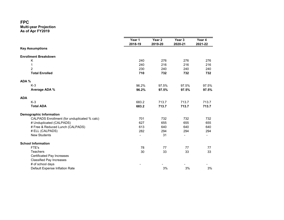|                                   |                                              | Year 1<br>2018-19            | Year 2<br>2019-20 | Year <sub>3</sub><br>2020-21 | Year 4<br>2021-22 |
|-----------------------------------|----------------------------------------------|------------------------------|-------------------|------------------------------|-------------------|
| <b>Key Assumptions</b>            |                                              |                              |                   |                              |                   |
| <b>Enrollment Breakdown</b>       |                                              |                              |                   |                              |                   |
| Κ                                 |                                              | 240                          | 276               | 276                          | 276               |
| 1                                 |                                              | 240                          | 216               | 216                          | 216               |
| $\overline{2}$                    |                                              | 230                          | 240               | 240                          | 240               |
| <b>Total Enrolled</b>             |                                              | 710                          | 732               | 732                          | 732               |
| ADA %                             |                                              |                              |                   |                              |                   |
| $K-3$                             |                                              | 96.2%                        | 97.5%             | 97.5%                        | 97.5%             |
| Average ADA %                     |                                              | 96.2%                        | 97.5%             | 97.5%                        | 97.5%             |
| <b>ADA</b>                        |                                              |                              |                   |                              |                   |
| $K-3$                             |                                              | 683.2                        | 713.7             | 713.7                        | 713.7             |
| <b>Total ADA</b>                  |                                              | 683.2                        | 713.7             | 713.7                        | 713.7             |
| <b>Demographic Information</b>    |                                              |                              |                   |                              |                   |
|                                   | CALPADS Enrollment (for unduplicated % calc) | 701                          | 732               | 732                          | 732               |
| # Unduplicated (CALPADS)          |                                              | 627                          | 655               | 655                          | 655               |
|                                   | # Free & Reduced Lunch (CALPADS)             | 613                          | 640               | 640                          | 640               |
| # ELL (CALPADS)                   |                                              | 282                          | 294               | 294                          | 294               |
| <b>New Students</b>               |                                              | $\qquad \qquad \blacksquare$ | 31                |                              |                   |
| <b>School Information</b>         |                                              |                              |                   |                              |                   |
| FTE's                             |                                              | 78                           | 77                | 77                           | 77                |
| <b>Teachers</b>                   |                                              | 30                           | 33                | 33                           | 33                |
| <b>Certificated Pay Increases</b> |                                              |                              |                   |                              |                   |
| <b>Classified Pay Increases</b>   |                                              |                              |                   |                              |                   |
| # of school days                  |                                              |                              |                   |                              |                   |
|                                   | Default Expense Inflation Rate               |                              | 3%                | 3%                           | 3%                |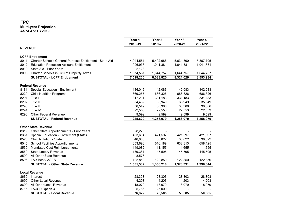|                |                                                         | Year 1<br>2018-19 | Year 2<br>2019-20 | Year 3<br>2020-21 | Year 4<br>2021-22 |
|----------------|---------------------------------------------------------|-------------------|-------------------|-------------------|-------------------|
| <b>REVENUE</b> |                                                         |                   |                   |                   |                   |
|                | <b>LCFF Entitlement</b>                                 |                   |                   |                   |                   |
| 8011           | Charter Schools General Purpose Entitlement - State Aid | 4,944,581         | 5,402,686         | 5,634,890         | 5,867,795         |
| 8012           | <b>Education Protection Account Entitlement</b>         | 996,936           | 1,041,381         | 1,041,381         | 1,041,381         |
| 8019           | State Aid - Prior Years                                 | 2,128             |                   |                   |                   |
| 8096           | Charter Schools in Lieu of Property Taxes               | 1,574,561         | 1,644,757         | 1,644,757         | 1,644,757         |
|                | <b>SUBTOTAL - LCFF Entitlement</b>                      | 7,518,206         | 8,088,825         | 8,321,029         | 8,553,934         |
|                | <b>Federal Revenue</b>                                  |                   |                   |                   |                   |
| 8181           | Special Education - Entitlement                         | 136,019           | 142,083           | 142,083           | 142,083           |
| 8220           | <b>Child Nutrition Programs</b>                         | 669,257           | 686,326           | 686,326           | 686,326           |
| 8291           | Title I                                                 | 317,211           | 331,183           | 331,183           | 331,183           |
| 8292           | Title II                                                | 34,432            | 35,949            | 35,949            | 35,949            |
| 8293           | Title III                                               | 36,549            | 30,386            | 30,386            | 30,386            |
| 8294           | Title IV                                                | 22,553            | 22,553            | 22,553            | 22,553            |
| 8296           | <b>Other Federal Revenue</b>                            | 9,599             | 9,599             | 9,599             | 9,599             |
|                | <b>SUBTOTAL - Federal Revenue</b>                       | 1,225,620         | 1,258,079         | 1,258,079         | 1,258,079         |
|                | <b>Other State Revenue</b>                              |                   |                   |                   |                   |
| 8319           | Other State Apportionments - Prior Years                | 28,273            |                   |                   |                   |
| 8381           | Special Education - Entitlement (State)                 | 403,604           | 421,597           | 421,597           | 421,597           |
| 8520           | <b>Child Nutrition - State</b>                          | 46,083            | 38,822            | 38,822            | 38,822            |
| 8545           | <b>School Facilities Apportionments</b>                 | 653,690           | 616,189           | 632,813           | 658,125           |
| 8550           | <b>Mandated Cost Reimbursements</b>                     | 149,082           | 11,157            | 11,655            | 11,655            |
| 8560           | <b>State Lottery Revenue</b>                            | 139,381           | 145,595           | 145,595           | 145,595           |
| 8590           | All Other State Revenue                                 | 8,576             |                   |                   |                   |
| 8596           | LA's Best / ASES                                        | 122,850           | 122,850           | 122,850           | 122,850           |
|                | <b>SUBTOTAL - Other State Revenue</b>                   | 1,551,537         | 1,356,210         | 1,373,331         | 1,398,644         |
|                | <b>Local Revenue</b>                                    |                   |                   |                   |                   |
| 8660           | Interest                                                | 28,303            | 28,303            | 28,303            | 28,303            |
| 8690           | <b>Other Local Revenue</b>                              | 4,203             | 4,203             | 4,203             | 4,203             |
| 8699           | All Other Local Revenue                                 | 18,079            | 18,079            | 18,079            | 18,079            |
| 8715           | <b>LAUSD Option 3</b>                                   | 25,786            | 25,000            |                   |                   |
|                | <b>SUBTOTAL - Local Revenue</b>                         | 76,372            | 75,585            | 50,585            | 50,585            |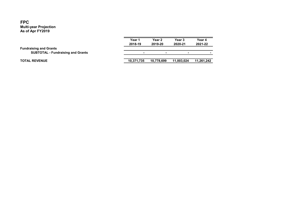|                                          | Year 1     | Year 2                   | Year 3                   | Year 4     |
|------------------------------------------|------------|--------------------------|--------------------------|------------|
|                                          | 2018-19    | 2019-20                  | 2020-21                  | 2021-22    |
| <b>Fundraising and Grants</b>            |            |                          |                          |            |
| <b>SUBTOTAL - Fundraising and Grants</b> | -          | $\overline{\phantom{a}}$ | $\overline{\phantom{a}}$ |            |
|                                          |            |                          |                          |            |
| <b>TOTAL REVENUE</b>                     | 10,371,735 | 10.778.699               | 11.003.024               | 11,261,242 |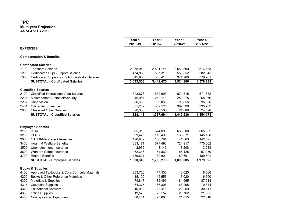|                 |                                                  | Year 1    | Year <sub>2</sub> | Year 3    | Year 4    |
|-----------------|--------------------------------------------------|-----------|-------------------|-----------|-----------|
|                 |                                                  | 2018-19   | 2019-20           | 2020-21   | 2021-22   |
| <b>EXPENSES</b> |                                                  |           |                   |           |           |
|                 | <b>Compensation &amp; Benefits</b>               |           |                   |           |           |
|                 | <b>Certificated Salaries</b>                     |           |                   |           |           |
| 1100            | <b>Teachers Salaries</b>                         | 2,268,959 | 2,521,744         | 2,580,800 | 2,616,433 |
| 1200            | <b>Certificated Pupil Support Salaries</b>       | 474,959   | 557,313           | 569,852   | 582,045   |
| 1300            | Certificated Supervisor & Administrator Salaries | 349,635   | 363,418           | 374,209   | 379,761   |
|                 | <b>SUBTOTAL - Certificated Salaries</b>          | 3,093,553 | 3,442,475         | 3,524,860 | 3,578,238 |
|                 | <b>Classified Salaries</b>                       |           |                   |           |           |
| 2100            | <b>Classified Instructional Aide Salaries</b>    | 593,878   | 632,693           | 671,515   | 671,872   |
| 2201            | Maintenance/Custodial/Security                   | 245,954   | 252,111           | 259,075   | 265,976   |
| 2202            | Supervision                                      | 86,688    | 89,865            | 95,856    | 95,856    |
| 2401            | Office/Tech/Finance                              | 381,289   | 389,525           | 392,396   | 395,782   |
| 2900            | <b>Classified Other Salaries</b>                 | 20,333    | 23,500            | 24,088    | 24,690    |
|                 | <b>SUBTOTAL - Classified Salaries</b>            | 1,328,143 | 1,387,694         | 1,442,930 | 1,454,175 |
|                 |                                                  |           |                   |           |           |
|                 | <b>Employee Benefits</b>                         |           |                   |           |           |
| 3100            | <b>STRS</b>                                      | 505,910   | 574,893           | 638,000   | 665,552   |
| 3200            | <b>PERS</b>                                      | 99,478    | 119,490           | 136,871   | 145,188   |
| 3300            | OASDI-Medicare-Alternative                       | 126,889   | 136,794           | 141,063   | 142,625   |
| 3400            | Health & Welfare Benefits                        | 633,171   | 677,493           | 724,917   | 775,662   |
| 3500            | Unemployment Insurance                           | 2,955     | 3,140             | 3,208     | 3,238     |
| 3600            | <b>Workers Comp Insurance</b>                    | 62,346    | 54,862            | 56,425    | 57,159    |
| 3700            | <b>Retiree Benefits</b>                          | 189,601   | 189,601           | 189,601   | 189,601   |
|                 | <b>SUBTOTAL - Employee Benefits</b>              | 1,620,349 | 1,756,273         | 1,890,085 | 1,979,025 |
|                 | <b>Books &amp; Supplies</b>                      |           |                   |           |           |
| 4100            | Approved Textbooks & Core Curricula Materials    | 233,720   | 17,500            | 18,025    | 18,566    |
| 4200            | Books & Other Reference Materials                | 15,100    | 15,553            | 16,020    | 16,500    |
| 4300            | Materials & Supplies                             | 74,847    | 82,490            | 84,965    | 87,514    |
| 4315            | <b>Custodial Supplies</b>                        | 64,375    | 66,306            | 68,295    | 70,344    |
| 4320            | <b>Educational Software</b>                      | 16,088    | 28,416            | 29,269    | 30,147    |
| 4330            | <b>Office Supplies</b>                           | 19,570    | 20,157            | 20,762    | 21,385    |
| 4400            | Noncapitalized Equipment                         | 60,101    | 75,668            | 21,855    | 22,510    |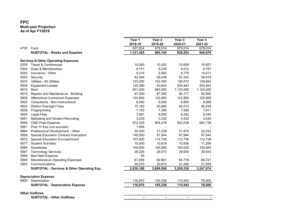|      |                                                       | Year 1<br>2018-19 | Year 2<br>2019-20 | Year 3<br>2020-21 | Year 4<br>2021-22 |
|------|-------------------------------------------------------|-------------------|-------------------|-------------------|-------------------|
| 4700 | Food                                                  | 637,624           | 679,014           | 679,014           | 679,014           |
|      | <b>SUBTOTAL - Books and Supplies</b>                  | 1,121,425         | 985,104           | 938,203           | 945,979           |
|      | <b>Services &amp; Other Operating Expenses</b>        |                   |                   |                   |                   |
| 5200 | <b>Travel &amp; Conferences</b>                       | 10,000            | 10,300            | 10,609            | 10,927            |
| 5300 | Dues & Memberships                                    | 8,751             | 9,235             | 9,512             | 9,797             |
| 5450 | Insurance - Other                                     | 9,216             | 9,493             | 9,778             | 10,071            |
| 5520 | Security                                              | 42,094            | 55,536            | 57,202            | 58,918            |
| 5535 | <b>Utilities - All Utilities</b>                      | 123,000           | 122,400           | 126,072           | 129,854           |
| 5605 | <b>Equipment Leases</b>                               | 120,390           | 40,624            | 204,463           | 204,463           |
| 5610 | Rent                                                  | 801,000           | 963,000           | 1,125,000         | 1,125,000         |
| 5615 | Repairs and Maintenance - Building                    | 87,000            | 87,550            | 90,177            | 92,882            |
| 5808 | <b>Afterschool Contracted Expenses</b>                | 122,850           | 122,850           | 122,850           | 122,850           |
| 5820 | Consultants - Non-Instructional                       | 8,050             | 8,548             | 8,805             | 9,069             |
| 5824 | <b>District Oversight Fees</b>                        | 75,182            | 80,888            | 83,210            | 85,539            |
| 5836 | Fingerprinting                                        | 7,153             | 7,368             | 7,589             | 7,817             |
| 5845 | Legal Fees                                            | 7,581             | 8,050             | 8,292             | 8,540             |
| 5851 | Marketing and Student Recruiting                      | 3,235             | 3,332             | 3,432             | 3,535             |
| 5858 | <b>CMO Fees Expense</b>                               | 872,325           | 904,218           | 902,838           | 904,738           |
| 5861 | Prior Yr Exp (not accrued)                            | 1,006             |                   |                   |                   |
| 5864 | Professional Development - Other                      | 20,000            | 21,238            | 21,875            | 22,532            |
| 5869 | <b>Special Education Contract Instructors</b>         | 140,000           | 97,944            | 97,944            | 97,944            |
| 5872 | <b>Special Education Encroachment</b>                 | 107,925           | 112,736           | 112,736           | 112,736           |
| 5877 | <b>Student Activities</b>                             | 10,000            | 10,619            | 10,938            | 11,266            |
| 5884 | Substitutes                                           | 150,000           | 100,000           | 100,000           | 100,000           |
| 5887 | <b>Technology Services</b>                            | 28,226            | 29,073            | 29,945            | 30,843            |
| 5898 | <b>Bad Debt Expense</b>                               | 55                |                   |                   |                   |
| 5899 | <b>Miscellaneous Operating Expenses</b>               | 61,059            | 62,891            | 64,778            | 66,721            |
| 5900 | Communications                                        | 20,070            | 20,672            | 21,292            | 21,930            |
|      | <b>SUBTOTAL - Services &amp; Other Operating Exp.</b> | 2,836,168         | 2,888,566         | 3,229,336         | 3,247,974         |
|      |                                                       |                   |                   |                   |                   |
|      | <b>Depreciation Expense</b>                           |                   |                   |                   |                   |
| 6900 | Depreciation                                          | 116,970           | 155,338           | 110,543           | 76,500            |
|      | <b>SUBTOTAL - Depreciation Expense</b>                | 116,970           | 155,338           | 110,543           | 76,500            |
|      | <b>Other Outflows</b>                                 |                   |                   |                   |                   |
|      | <b>SUBTOTAL - Other Outflows</b>                      | $\blacksquare$    | $\blacksquare$    | $\blacksquare$    |                   |
|      |                                                       |                   |                   |                   |                   |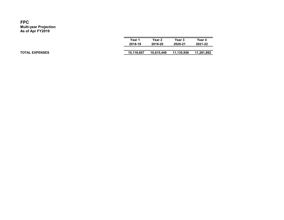| Year 1     | Year 2     | Year 3     | Year 4     |
|------------|------------|------------|------------|
| 2018-19    | 2019-20    | 2020-21    | 2021-22    |
|            |            |            |            |
| 10,116,607 | 10,615,449 | 11,135,958 | 11,281,892 |
|            |            |            |            |

TOTAL EXPENSES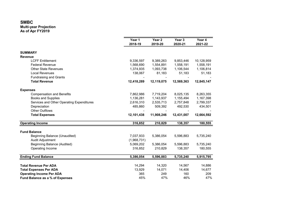|                                           | Year 1<br>2018-19 | Year 2<br>2019-20 | Year 3<br>2020-21 | Year 4<br>2021-22      |
|-------------------------------------------|-------------------|-------------------|-------------------|------------------------|
| <b>SUMMARY</b>                            |                   |                   |                   |                        |
| <b>Revenue</b>                            |                   |                   |                   |                        |
| <b>LCFF Entitlement</b>                   | 9,336,597         | 9,389,263         | 9,853,446         | 10,128,959             |
| <b>Federal Revenue</b>                    | 1,568,690         | 1,554,891         | 1,558,191         | 1,558,191<br>1,106,814 |
| <b>Other State Revenues</b>               | 1,374,935         | 1,093,738         | 1,106,544         |                        |
| <b>Local Revenues</b>                     | 138,067           | 81,183            | 51,183            | 51,183                 |
| <b>Fundraising and Grants</b>             |                   |                   |                   |                        |
| <b>Total Revenue</b>                      | 12,418,289        | 12,119,075        | 12,569,363        | 12,845,147             |
| <b>Expenses</b>                           |                   |                   |                   |                        |
| <b>Compensation and Benefits</b>          | 7,862,986         | 7,719,204         | 8,025,135         | 8,263,355              |
| <b>Books and Supplies</b>                 | 1,136,281         | 1,143,937         | 1,155,494         | 1,167,398              |
| Services and Other Operating Expenditures | 2,616,310         | 2,535,713         | 2,757,848         | 2,799,337              |
| Depreciation                              | 485,860           | 509,392           | 492,530           | 434,501                |
| <b>Other Outflows</b>                     |                   |                   |                   |                        |
| <b>Total Expenses</b>                     | 12,101,438        | 11,908,246        | 12,431,007        | 12,664,592             |
| <b>Operating Income</b>                   | 316,852           | 210,829           | 138,357           | 180,555                |
| <b>Fund Balance</b>                       |                   |                   |                   |                        |
| <b>Beginning Balance (Unaudited)</b>      | 7,037,933         | 5,386,054         | 5,596,883         | 5,735,240              |
| Audit Adjustment                          | (1,968,731)       |                   |                   |                        |
| <b>Beginning Balance (Audited)</b>        | 5,069,202         | 5,386,054         | 5,596,883         | 5,735,240              |
| Operating Income                          | 316,852           | 210,829           | 138,357           | 180,555                |
| <b>Ending Fund Balance</b>                | 5,386,054         | 5,596,883         | 5,735,240         | 5,915,795              |
| <b>Total Revenue Per ADA</b>              | 14,294            | 14,320            | 14,567            | 14,886                 |
| <b>Total Expenses Per ADA</b>             | 13,929            | 14,071            | 14,406            | 14,677                 |
| <b>Operating Income Per ADA</b>           | 365               | 249               | 160               | 209                    |
| Fund Balance as a % of Expenses           | 45%               | 47%               | 46%               | 47%                    |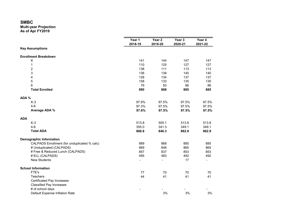|                                              | Year 1<br>2018-19        | Year 2<br>2019-20 | Year <sub>3</sub> | Year 4<br>2021-22        |  |  |
|----------------------------------------------|--------------------------|-------------------|-------------------|--------------------------|--|--|
| <b>Key Assumptions</b>                       |                          |                   | 2020-21           |                          |  |  |
|                                              |                          |                   |                   |                          |  |  |
| <b>Enrollment Breakdown</b>                  |                          |                   |                   |                          |  |  |
| Κ                                            | 141                      | 144               | 147               | 147                      |  |  |
| 1                                            | 110                      | 125               | 127               | 127                      |  |  |
| $\overline{\mathbf{c}}$                      | 138                      | 111               | 113               | 113                      |  |  |
| 3                                            | 136                      | 138               | 140               | 140                      |  |  |
| $\overline{\mathbf{4}}$                      | 128                      | 134               | 137               | 137                      |  |  |
| 5                                            | 158                      | 133               | 135               | 135                      |  |  |
| 6                                            | 79                       | 83                | 86                | 86                       |  |  |
| <b>Total Enrolled</b>                        | 890                      | 868               | 885               | 885                      |  |  |
| ADA %                                        |                          |                   |                   |                          |  |  |
| $K-3$                                        | 97.9%                    | 97.5%             | 97.5%             | 97.5%                    |  |  |
| $4-6$                                        | 97.3%                    | 97.5%             | 97.5%             | 97.5%                    |  |  |
| Average ADA %                                | 97.6%                    | 97.5%             | 97.5%             | 97.5%                    |  |  |
| <b>ADA</b>                                   |                          |                   |                   |                          |  |  |
| $K-3$                                        | 513.8                    | 505.1             | 513.8             | 513.8                    |  |  |
| $4-6$                                        | 355.0                    | 341.3             | 349.1             | 349.1                    |  |  |
| <b>Total ADA</b>                             | 868.8                    | 846.3             | 862.9             | 862.9                    |  |  |
| <b>Demographic Information</b>               |                          |                   |                   |                          |  |  |
| CALPADS Enrollment (for unduplicated % calc) | 889                      | 868               | 885               | 885                      |  |  |
| # Unduplicated (CALPADS)                     | 869                      | 848               | 865               | 865                      |  |  |
| # Free & Reduced Lunch (CALPADS)             | 857                      | 837               | 853               | 853                      |  |  |
| # ELL (CALPADS)                              | 495                      | 483               | 492               | 492                      |  |  |
| <b>New Students</b>                          | $\overline{\phantom{a}}$ | $\overline{a}$    | 17                | $\overline{\phantom{0}}$ |  |  |
| <b>School Information</b>                    |                          |                   |                   |                          |  |  |
| FTE's                                        | 77                       | 70                | 70                | 70                       |  |  |
| Teachers                                     | 44                       | 41                | 41                | 41                       |  |  |
| <b>Certificated Pay Increases</b>            |                          |                   |                   |                          |  |  |
| <b>Classified Pay Increases</b>              |                          |                   |                   |                          |  |  |
| # of school days                             |                          |                   |                   |                          |  |  |
| Default Expense Inflation Rate               |                          | 3%                | 3%                | 3%                       |  |  |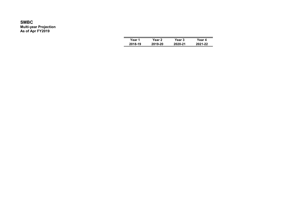| Year 1  | Year 2  | Year 3  | Year 4  |
|---------|---------|---------|---------|
| 2018-19 | 2019-20 | 2020-21 | 2021-22 |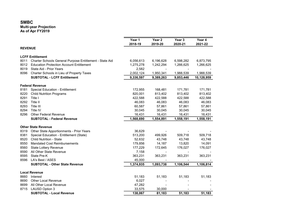|                |                                                         | Year 1<br>2018-19 | Year 2<br>2019-20 | Year 3<br>2020-21 | Year 4<br>2021-22 |
|----------------|---------------------------------------------------------|-------------------|-------------------|-------------------|-------------------|
| <b>REVENUE</b> |                                                         |                   |                   |                   |                   |
|                | <b>LCFF Entitlement</b>                                 |                   |                   |                   |                   |
| 8011           | Charter Schools General Purpose Entitlement - State Aid | 6,056,613         | 6,196,628         | 6,598,282         | 6,873,795         |
| 8012           | <b>Education Protection Account Entitlement</b>         | 1,275,278         | 1,242,294         | 1,266,625         | 1,266,625         |
| 8019           | State Aid - Prior Years                                 | 2,582             |                   |                   |                   |
| 8096           | Charter Schools in Lieu of Property Taxes               | 2,002,124         | 1,950,341         | 1,988,539         | 1,988,539         |
|                | <b>SUBTOTAL - LCFF Entitlement</b>                      | 9,336,597         | 9,389,263         | 9,853,446         | 10,128,959        |
|                | <b>Federal Revenue</b>                                  |                   |                   |                   |                   |
| 8181           | Special Education - Entitlement                         | 172,955           | 168,481           | 171,781           | 171,781           |
| 8220           | <b>Child Nutrition Programs</b>                         | 820,001           | 813,402           | 813,402           | 813,402           |
| 8291           | Title I                                                 | 422,588           | 422,588           | 422,588           | 422,588           |
| 8292           | Title II                                                | 46,083            | 46,083            | 46,083            | 46,083            |
| 8293           | Title III                                               | 60,587            | 57,861            | 57,861            | 57,861            |
| 8294           | Title IV                                                | 30,045            | 30,045            | 30,045            | 30,045            |
| 8296           | <b>Other Federal Revenue</b>                            | 16,431            | 16,431            | 16,431            | 16,431            |
|                | <b>SUBTOTAL - Federal Revenue</b>                       | 1,568,690         | 1,554,891         | 1,558,191         | 1,558,191         |
|                | <b>Other State Revenue</b>                              |                   |                   |                   |                   |
| 8319           | Other State Apportionments - Prior Years                | 36,629            |                   |                   |                   |
| 8381           | Special Education - Entitlement (State)                 | 513,200           | 499,926           | 509,718           | 509,718           |
| 8520           | <b>Child Nutrition - State</b>                          | 52,632            | 43,748            | 43,748            | 43,748            |
| 8550           | <b>Mandated Cost Reimbursements</b>                     | 179,856           | 14,187            | 13,820            | 14,091            |
| 8560           | <b>State Lottery Revenue</b>                            | 177,229           | 172,645           | 176,027           | 176,027           |
| 8590           | All Other State Revenue                                 | 7,158             |                   |                   |                   |
| 8595           | State Pre-K                                             | 363,231           | 363,231           | 363,231           | 363,231           |
| 8596           | LA's Best / ASES                                        | 45,000            |                   |                   |                   |
|                | <b>SUBTOTAL - Other State Revenue</b>                   | 1,374,935         | 1,093,738         | 1,106,544         | 1,106,814         |
|                | <b>Local Revenue</b>                                    |                   |                   |                   |                   |
| 8660           | Interest                                                | 51,183            | 51,183            | 51,183            | 51,183            |
| 8690           | <b>Other Local Revenue</b>                              | 6,027             |                   |                   |                   |
| 8699           | All Other Local Revenue                                 | 47,282            |                   |                   |                   |
| 8715           | <b>LAUSD Option 3</b>                                   | 33,575            | 30,000            |                   |                   |
|                | <b>SUBTOTAL - Local Revenue</b>                         | 138,067           | 81,183            | 51,183            | 51,183            |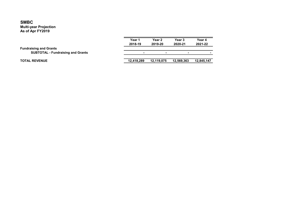|                                                                           | Year 1<br>2018-19 | Year 2<br>2019-20 | <b>Year 3</b><br>2020-21 | Year 4<br>2021-22 |
|---------------------------------------------------------------------------|-------------------|-------------------|--------------------------|-------------------|
| <b>Fundraising and Grants</b><br><b>SUBTOTAL - Fundraising and Grants</b> |                   |                   | $\overline{\phantom{0}}$ |                   |
| <b>TOTAL REVENUE</b>                                                      | 12,418,289        | 12,119,075        | 12,569,363               | 12,845,147        |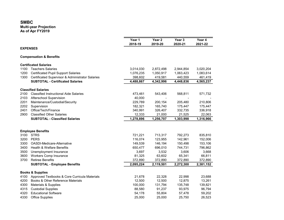|                 |                                                  | Year 1<br>2018-19 | Year 2<br>2019-20 | Year 3<br>2020-21 | Year 4<br>2021-22 |
|-----------------|--------------------------------------------------|-------------------|-------------------|-------------------|-------------------|
| <b>EXPENSES</b> |                                                  |                   |                   |                   |                   |
|                 | <b>Compensation &amp; Benefits</b>               |                   |                   |                   |                   |
|                 | <b>Certificated Salaries</b>                     |                   |                   |                   |                   |
| 1100            | <b>Teachers Salaries</b>                         | 3,014,030         | 2,872,498         | 2,944,854         | 3,020,204         |
| 1200            | <b>Certificated Pupil Support Salaries</b>       | 1,076,235         | 1,050,917         | 1,063,423         | 1,083,614         |
| 1300            | Certificated Supervisor & Administrator Salaries | 398,602           | 419,581           | 440,559           | 461,419           |
|                 | <b>SUBTOTAL - Certificated Salaries</b>          | 4,488,867         | 4,342,996         | 4,448,836         | 4,565,237         |
|                 | <b>Classified Salaries</b>                       |                   |                   |                   |                   |
| 2100            | <b>Classified Instructional Aide Salaries</b>    | 473,461           | 543,406           | 568,811           | 571,732           |
| 2103            | Afterschool Supervision                          | 40,000            |                   |                   |                   |
| 2201            | Maintenance/Custodial/Security                   | 229,789           | 200,154           | 205,480           | 210,806           |
| 2202            | Supervision                                      | 182,321           | 165,740           | 175,447           | 175,447           |
| 2401            | Office/Tech/Finance                              | 340,991           | 326,407           | 332,735           | 336,918           |
| 2900            | <b>Classified Other Salaries</b>                 | 12,333            | 21,000            | 21,525            | 22,063            |
|                 | <b>SUBTOTAL - Classified Salaries</b>            | 1,278,896         | 1,256,707         | 1,303,998         | 1,316,966         |
|                 |                                                  |                   |                   |                   |                   |
|                 | <b>Employee Benefits</b>                         |                   |                   |                   |                   |
| 3100            | <b>STRS</b>                                      | 721,221           | 713,317           | 792,273           | 835,810           |
| 3200            | <b>PERS</b>                                      | 116,074           | 123,955           | 142,961           | 152,006           |
| 3300            | OASDI-Medicare-Alternative                       | 149,539           | 146,194           | 150,498           | 153,106           |
| 3400            | <b>Health &amp; Welfare Benefits</b>             | 650,477           | 696,010           | 744,731           | 796,862           |
| 3500            | Unemployment Insurance                           | 3,697             | 3,532             | 3,606             | 3,668             |
| 3600            | <b>Workers Comp Insurance</b>                    | 81,325            | 63,602            | 65,341            | 66,811            |
| 3700            | <b>Retiree Benefits</b>                          | 372,890           | 372,890           | 372,890           | 372,890           |
|                 | <b>SUBTOTAL - Employee Benefits</b>              | 2,095,224         | 2,119,501         | 2,272,300         | 2,381,152         |
|                 | <b>Books &amp; Supplies</b>                      |                   |                   |                   |                   |
| 4100            | Approved Textbooks & Core Curricula Materials    | 21,678            | 22,328            | 22,998            | 23,688            |
| 4200            | Books & Other Reference Materials                | 12,500            | 12,500            | 12,875            | 13,261            |
| 4300            | Materials & Supplies                             | 100,000           | 131,794           | 135,748           | 139,821           |
| 4315            | <b>Custodial Supplies</b>                        | 88,580            | 91,237            | 93,975            | 96,794            |
| 4320            | <b>Educational Software</b>                      | 54,178            | 55,804            | 57,478            | 59,202            |
| 4330            | <b>Office Supplies</b>                           | 25,000            | 25,000            | 25,750            | 26,523            |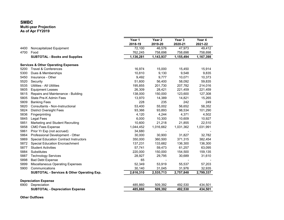#### Multi-year Projection As of Apr FY2019

|      |                                                       | Year 1    | Year 2    | Year 3    | Year 4    |
|------|-------------------------------------------------------|-----------|-----------|-----------|-----------|
|      |                                                       | 2018-19   | 2019-20   | 2020-21   | 2021-22   |
| 4400 | Noncapitalized Equipment                              | 72,100    | 46,576    | 47,973    | 49,412    |
| 4700 | Food                                                  | 762,245   | 758,698   | 758,698   | 758,698   |
|      | <b>SUBTOTAL - Books and Supplies</b>                  | 1,136,281 | 1,143,937 | 1,155,494 | 1,167,398 |
|      | <b>Services &amp; Other Operating Expenses</b>        |           |           |           |           |
| 5200 | <b>Travel &amp; Conferences</b>                       | 16,974    | 15,000    | 15,450    | 15,914    |
| 5300 | Dues & Memberships                                    | 10,810    | 9,130     | 9,548     | 9,835     |
| 5450 | Insurance - Other                                     | 9,492     | 9,777     | 10,071    | 10,373    |
| 5520 | Security                                              | 51,600    | 56,400    | 58,092    | 59,835    |
| 5535 | <b>Utilities - All Utilities</b>                      | 195,855   | 201,730   | 207,782   | 214,016   |
| 5605 | <b>Equipment Leases</b>                               | 26,309    | 28,421    | 221,459   | 221,459   |
| 5615 | Repairs and Maintenance - Building                    | 138,000   | 150,000   | 123,600   | 127,308   |
| 5805 | State Pre-K Admin Fees                                | 13,970    | 14,389    | 14,821    | 15,265    |
| 5809 | <b>Banking Fees</b>                                   | 228       | 235       | 242       | 249       |
| 5820 | Consultants - Non-Instructional                       | 53,400    | 55,002    | 56,652    | 58,352    |
| 5824 | <b>District Oversight Fees</b>                        | 93,366    | 93,893    | 98,534    | 101,290   |
| 5836 | Fingerprinting                                        | 4,120     | 4,244     | 4,371     | 4,502     |
| 5845 | <b>Legal Fees</b>                                     | 6,000     | 10,300    | 10,609    | 10,927    |
| 5851 | Marketing and Student Recruiting                      | 10,600    | 21,218    | 21,855    | 22,510    |
| 5858 | <b>CMO Fees Expense</b>                               | 1,044,452 | 1,016,662 | 1,031,362 | 1,031,991 |
| 5861 | Prior Yr Exp (not accrued)                            | 34,680    |           |           |           |
| 5864 | Professional Development - Other                      | 30,000    | 30,900    | 31,827    | 32,782    |
| 5869 | <b>Special Education Contract Instructors</b>         | 350,000   | 360,500   | 371,315   | 382,454   |
| 5872 | <b>Special Education Encroachment</b>                 | 137,231   | 133,682   | 136,300   | 136,300   |
| 5877 | <b>Student Activities</b>                             | 57,741    | 59,473    | 61,257    | 63,095    |
| 5884 | Substitutes                                           | 220,000   | 150,000   | 154,500   | 159,135   |
| 5887 | <b>Technology Services</b>                            | 28,927    | 29,795    | 30,689    | 31,610    |
| 5898 | <b>Bad Debt Expense</b>                               | 65        |           |           |           |
| 5899 | <b>Miscellaneous Operating Expenses</b>               | 52,349    | 53,919    | 55,537    | 57,203    |
| 5900 | Communications                                        | 30,140    | 31,045    | 31,976    | 32,935    |
|      | <b>SUBTOTAL - Services &amp; Other Operating Exp.</b> | 2,616,310 | 2,535,713 | 2,757,848 | 2,799,337 |
|      | <b>Depreciation Expense</b>                           |           |           |           |           |
| 6900 | Depreciation                                          | 485,860   | 509,392   | 492,530   | 434,501   |
|      | <b>SUBTOTAL - Depreciation Expense</b>                | 485,860   | 509,392   | 492,530   | 434,501   |
|      |                                                       |           |           |           |           |

#### Other Outflows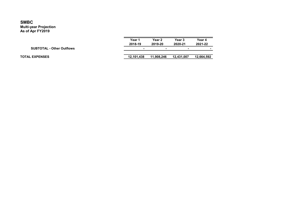|                                  | Year 1     | Year 2     | Year 3     | Year 4     |
|----------------------------------|------------|------------|------------|------------|
|                                  | 2018-19    | 2019-20    | 2020-21    | 2021-22    |
| <b>SUBTOTAL - Other Outflows</b> |            | ۰          |            | -          |
|                                  |            |            |            |            |
| <b>TOTAL EXPENSES</b>            | 12.101.438 | 11.908.246 | 12.431.007 | 12.664.592 |
|                                  |            |            |            |            |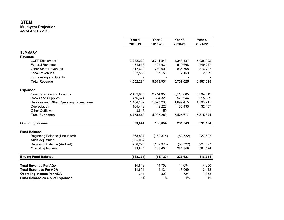|                                           | Year 1<br>2018-19 | Year 2<br>2019-20 | Year <sub>3</sub><br>2020-21 | Year 4<br>2021-22 |
|-------------------------------------------|-------------------|-------------------|------------------------------|-------------------|
| <b>SUMMARY</b>                            |                   |                   |                              |                   |
| <b>Revenue</b>                            |                   |                   |                              |                   |
| <b>LCFF Entitlement</b>                   | 3,232,220         | 3,711,843         | 4,348,431                    | 5,038,922         |
| <b>Federal Revenue</b>                    | 484,556           | 495,931           | 519,668                      | 549,227           |
| <b>Other State Revenues</b>               | 812,622           | 789,001           | 836,768                      | 876,707           |
| <b>Local Revenues</b>                     | 22,886            | 17,159            | 2,159                        | 2,159             |
| <b>Fundraising and Grants</b>             |                   |                   |                              |                   |
| <b>Total Revenue</b>                      | 4,552,284         | 5,013,934         | 5,707,025                    | 6,467,015         |
| <b>Expenses</b>                           |                   |                   |                              |                   |
| <b>Compensation and Benefits</b>          | 2,429,696         | 2,714,356         | 3,110,885                    | 3,534,549         |
| <b>Books and Supplies</b>                 | 476,324           | 564,320           | 579,944                      | 515,669           |
| Services and Other Operating Expenditures | 1,464,162         | 1,577,230         | 1,699,415                    | 1,793,215         |
| Depreciation                              | 104,442           | 49,225            | 35,433                       | 32,457            |
| <b>Other Outflows</b>                     | 3,816             | 150               |                              |                   |
| <b>Total Expenses</b>                     | 4,478,440         | 4,905,280         | 5,425,677                    | 5,875,891         |
| <b>Operating Income</b>                   | 73,844            | 108,654           | 281,349                      | 591,124           |
| <b>Fund Balance</b>                       |                   |                   |                              |                   |
| Beginning Balance (Unaudited)             | 368,837           | (162, 375)        | (53, 722)                    | 227,627           |
| Audit Adjustment                          | (605, 057)        |                   |                              |                   |
| Beginning Balance (Audited)               | (236, 220)        | (162, 375)        | (53, 722)                    | 227,627           |
| Operating Income                          | 73,844            | 108,654           | 281,349                      | 591,124           |
| <b>Ending Fund Balance</b>                | (162, 375)        | (53, 722)         | 227,627                      | 818,751           |
| <b>Total Revenue Per ADA</b>              | 14,842            | 14,753            | 14,694                       | 14,800            |
| <b>Total Expenses Per ADA</b>             | 14,601            | 14,434            | 13,969                       | 13,448            |
| <b>Operating Income Per ADA</b>           | 241               | 320               | 724                          | 1,353             |
| Fund Balance as a % of Expenses           | $-4%$             | $-1%$             | 4%                           | 14%               |
|                                           |                   |                   |                              |                   |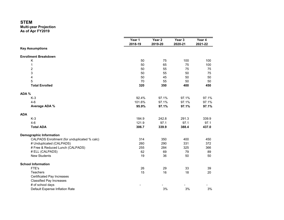|       |                                              | Year 1<br>2018-19 | Year 2<br>2019-20 | Year 3<br>2020-21 | Year 4<br>2021-22 |
|-------|----------------------------------------------|-------------------|-------------------|-------------------|-------------------|
|       | <b>Key Assumptions</b>                       |                   |                   |                   |                   |
|       |                                              |                   |                   |                   |                   |
|       | <b>Enrollment Breakdown</b>                  |                   |                   |                   |                   |
|       | Κ                                            | 50                | 75                | 100               | 100               |
|       | 1                                            | 50                | 65                | 75                | 100               |
|       | $\overline{c}$                               | 50                | 55                | 75                | 75                |
|       | 3                                            | 50                | 55                | 50                | 75                |
|       | 4                                            | 50                | 45                | 50                | 50                |
|       | 5                                            | 70                | 55                | 50                | 50                |
|       | <b>Total Enrolled</b>                        | 320               | 350               | 400               | 450               |
| ADA % |                                              |                   |                   |                   |                   |
|       | $K-3$                                        | 92.4%             | 97.1%             | 97.1%             | 97.1%             |
|       | $4-6$                                        | 101.6%            | 97.1%             | 97.1%             | 97.1%             |
|       | Average ADA %                                | 95.9%             | 97.1%             | 97.1%             | 97.1%             |
| ADA   |                                              |                   |                   |                   |                   |
|       | $K-3$                                        | 184.9             | 242.8             | 291.3             | 339.9             |
|       | $4-6$                                        | 121.9             | 97.1              | 97.1              | 97.1              |
|       | <b>Total ADA</b>                             | 306.7             | 339.9             | 388.4             | 437.0             |
|       | <b>Demographic Information</b>               |                   |                   |                   |                   |
|       | CALPADS Enrollment (for unduplicated % calc) | 314               | 350               | 400               | 450               |
|       | # Unduplicated (CALPADS)                     | 260               | 290               | 331               | 372               |
|       | # Free & Reduced Lunch (CALPADS)             | 255               | 284               | 325               | 366               |
|       | # ELL (CALPADS)                              | 62                | 69                | 79                | 89                |
|       | <b>New Students</b>                          | 19                | 36                | 50                | 50                |
|       | <b>School Information</b>                    |                   |                   |                   |                   |
|       | FTE's                                        | 26                | 29                | 33                | 39                |
|       | <b>Teachers</b>                              | 15                | 16                | 18                | 20                |
|       | <b>Certificated Pay Increases</b>            |                   |                   |                   |                   |
|       | <b>Classified Pay Increases</b>              |                   |                   |                   |                   |
|       | # of school days                             |                   |                   |                   |                   |
|       | Default Expense Inflation Rate               |                   | 3%                | 3%                | 3%                |
|       |                                              |                   |                   |                   |                   |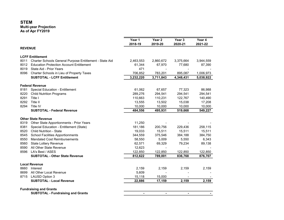|                |                                                         | Year 1         | Year <sub>2</sub> | Year 3         | Year 4    |
|----------------|---------------------------------------------------------|----------------|-------------------|----------------|-----------|
|                |                                                         | 2018-19        | 2019-20           | 2020-21        | 2021-22   |
| <b>REVENUE</b> |                                                         |                |                   |                |           |
|                | <b>LCFF Entitlement</b>                                 |                |                   |                |           |
| 8011           | Charter Schools General Purpose Entitlement - State Aid | 2,463,553      | 2,860,672         | 3,375,664      | 3,944,559 |
| 8012           | <b>Education Protection Account Entitlement</b>         | 61,344         | 67,970            | 77,680         | 87,390    |
| 8019           | State Aid - Prior Years                                 | 471            |                   |                |           |
| 8096           | Charter Schools in Lieu of Property Taxes               | 706,852        | 783,201           | 895,087        | 1,006,973 |
|                | <b>SUBTOTAL - LCFF Entitlement</b>                      | 3,232,220      | 3,711,843         | 4,348,431      | 5,038,922 |
|                | <b>Federal Revenue</b>                                  |                |                   |                |           |
| 8181           | Special Education - Entitlement                         | 61,062         | 67,657            | 77,323         | 86,988    |
| 8220           | <b>Child Nutrition Programs</b>                         | 289,276        | 294,541           | 294,541        | 294,541   |
| 8291           | Title I                                                 | 110,663        | 110,231           | 122,767        | 140,490   |
| 8292           | Title II                                                | 13,555         | 13,502            | 15,038         | 17,208    |
| 8294           | Title IV                                                | 10,000         | 10,000            | 10,000         | 10,000    |
|                | <b>SUBTOTAL - Federal Revenue</b>                       | 484,556        | 495,931           | 519,668        | 549,227   |
|                | <b>Other State Revenue</b>                              |                |                   |                |           |
| 8319           | Other State Apportionments - Prior Years                | 11,250         |                   |                |           |
| 8381           | Special Education - Entitlement (State)                 | 181,186        | 200,756           | 229,436        | 258,115   |
| 8520           | <b>Child Nutrition - State</b>                          | 19,033         | 15,511            | 15,511         | 15,511    |
| 8545           | <b>School Facilities Apportionments</b>                 | 344,559        | 375,546           | 384,188        | 384,750   |
| 8550           | <b>Mandated Cost Reimbursements</b>                     | 58,550         | 5,009             | 5,550          | 6,343     |
| 8560           | <b>State Lottery Revenue</b>                            | 62,571         | 69,329            | 79,234         | 89,138    |
| 8590           | All Other State Revenue                                 | 12,623         |                   |                |           |
| 8596           | LA's Best / ASES                                        | 122,850        | 122,850           | 122,850        | 122,850   |
|                | <b>SUBTOTAL - Other State Revenue</b>                   | 812,622        | 789,001           | 836,768        | 876,707   |
|                | <b>Local Revenue</b>                                    |                |                   |                |           |
| 8660           | Interest                                                | 2,159          | 2,159             | 2,159          | 2,159     |
| 8699           | All Other Local Revenue                                 | 5,609          |                   |                |           |
| 8715           | <b>LAUSD Option 3</b>                                   | 15,118         | 15,000            |                |           |
|                | <b>SUBTOTAL - Local Revenue</b>                         | 22,886         | 17,159            | 2,159          | 2,159     |
|                | <b>Fundraising and Grants</b>                           |                |                   |                |           |
|                | <b>SUBTOTAL - Fundraising and Grants</b>                | $\blacksquare$ | $\blacksquare$    | $\blacksquare$ |           |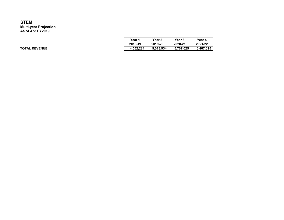| Year 1    | Year 2    | Year 3    | Year 4    |
|-----------|-----------|-----------|-----------|
| 2018-19   | 2019-20   | 2020-21   | 2021-22   |
| 4,552,284 | 5,013,934 | 5,707,025 | 6,467,015 |

TOTAL REVENUE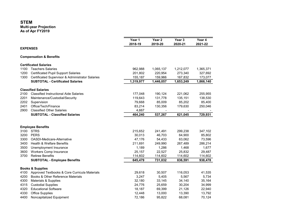|                 |                                                  | Year 1<br>2018-19 | Year 2<br>2019-20        | Year <sub>3</sub><br>2020-21 | Year 4<br>2021-22 |
|-----------------|--------------------------------------------------|-------------------|--------------------------|------------------------------|-------------------|
| <b>EXPENSES</b> |                                                  |                   |                          |                              |                   |
|                 | <b>Compensation &amp; Benefits</b>               |                   |                          |                              |                   |
|                 | <b>Certificated Salaries</b>                     |                   |                          |                              |                   |
| 1100            | <b>Teachers Salaries</b>                         | 962,988           | 1,065,137                | 1,212,077                    | 1,365,371         |
| 1200            | <b>Certificated Pupil Support Salaries</b>       | 201,802           | 220,954                  | 273,340                      | 327,692           |
| 1300            | Certificated Supervisor & Administrator Salaries | 155,187           | 159,966                  | 167,832                      | 173,077           |
|                 | <b>SUBTOTAL - Certificated Salaries</b>          | 1,319,977         | 1,446,057                | 1,653,249                    | 1,866,140         |
|                 | <b>Classified Salaries</b>                       |                   |                          |                              |                   |
| 2100            | <b>Classified Instructional Aide Salaries</b>    | 177,048           | 190,124                  | 221,062                      | 255,955           |
| 2201            | Maintenance/Custodial/Security                   | 119,643           | 131,778                  | 135,151                      | 138,530           |
| 2202            | Supervision                                      | 79,668            | 85,009                   | 85,202                       | 85,400            |
| 2401            | Office/Tech/Finance                              | 83,214            | 130,356                  | 179,630                      | 250,046           |
| 2900            | <b>Classified Other Salaries</b>                 | 4,667             | $\overline{\phantom{a}}$ | $\blacksquare$               |                   |
|                 | <b>SUBTOTAL - Classified Salaries</b>            | 464,240           | 537,267                  | 621,045                      | 729,931           |
|                 |                                                  |                   |                          |                              |                   |
|                 | <b>Employee Benefits</b>                         |                   |                          |                              |                   |
| 3100            | <b>STRS</b>                                      | 215,652           | 241,491                  | 299,238                      | 347,102           |
| 3200            | <b>PERS</b>                                      | 30,013            | 46,703                   | 64,900                       | 85,802            |
| 3300            | OASDI-Medicare-Alternative                       | 47,176            | 54,433                   | 63,062                       | 73,596            |
| 3400            | <b>Health &amp; Welfare Benefits</b>             | 211,691           | 249,990                  | 267,489                      | 286,214           |
| 3500            | Unemployment Insurance                           | 1,189             | 1,286                    | 1,468                        | 1,677             |
| 3600            | <b>Workers Comp Insurance</b>                    | 25,157            | 22,527                   | 25,832                       | 29,487            |
| 3700            | <b>Retiree Benefits</b>                          | 114,602           | 114,602                  | 114,602                      | 114,602           |
|                 | <b>SUBTOTAL - Employee Benefits</b>              | 645,479           | 731,032                  | 836,591                      | 938,478           |
|                 | <b>Books &amp; Supplies</b>                      |                   |                          |                              |                   |
| 4100            | Approved Textbooks & Core Curricula Materials    | 29,618            | 30,507                   | 116,053                      | 41,535            |
| 4200            | Books & Other Reference Materials                | 3,247             | 5,405                    | 5,567                        | 5,734             |
| 4300            | Materials & Supplies                             | 32,180            | 33,145                   | 34,140                       | 35,164            |
| 4315            | <b>Custodial Supplies</b>                        | 24,776            | 25,659                   | 30,204                       | 34,999            |
| 4320            | <b>Educational Software</b>                      | 18,187            | 69,399                   | 21,126                       | 22,940            |
| 4330            | <b>Office Supplies</b>                           | 12,448            | 13,000                   | 13,390                       | 13,792            |
| 4400            | Noncapitalized Equipment                         | 72,186            | 95,822                   | 68,081                       | 70,124            |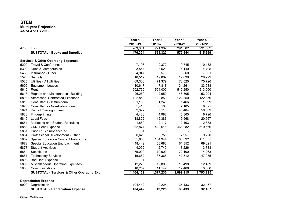### **STEM**

Multi-year Projection

As of Apr FY2019

|      |                                                | Year 1    | Year <sub>2</sub> | Year 3    | Year 4    |
|------|------------------------------------------------|-----------|-------------------|-----------|-----------|
|      |                                                | 2018-19   | 2019-20           | 2020-21   | 2021-22   |
| 4700 | Food                                           | 283,681   | 291,382           | 291,382   | 291,382   |
|      | <b>SUBTOTAL - Books and Supplies</b>           | 476,324   | 564,320           | 579,944   | 515,669   |
|      | <b>Services &amp; Other Operating Expenses</b> |           |                   |           |           |
| 5200 | <b>Travel &amp; Conferences</b>                | 7,193     | 9,372             | 9,745     | 10,132    |
| 5300 | Dues & Memberships                             | 3,544     | 3,520             | 4,140     | 4,795     |
| 5450 | Insurance - Other                              | 4,947     | 5,573             | 6,560     | 7,601     |
| 5520 | Security                                       | 18,512    | 19,067            | 19,639    | 20,229    |
| 5535 | <b>Utilities - All Utilities</b>               | 69,300    | 71,379            | 73,520    | 75,726    |
| 5605 | <b>Equipment Leases</b>                        | 10,617    | 7,818             | 34,261    | 33,588    |
| 5610 | Rent                                           | 502,750   | 504,000           | 512,250   | 513,000   |
| 5615 | Repairs and Maintenance - Building             | 26,250    | 42,650            | 46,505    | 53,204    |
| 5808 | <b>Afterschool Contracted Expenses</b>         | 122,850   | 122,850           | 122,850   | 122,850   |
| 5815 | Consultants - Instructional                    | 1,106     | 1,246             | 1,466     | 1,699     |
| 5820 | Consultants - Non-Instructional                | 5,418     | 6,103             | 7,185     | 8,325     |
| 5824 | <b>District Oversight Fees</b>                 | 32,322    | 37,118            | 43,484    | 50,389    |
| 5836 | Fingerprinting                                 | 4,423     | 4,982             | 5,865     | 6,796     |
| 5845 | Legal Fees                                     | 18,822    | 19,386            | 19,968    | 20,567    |
| 5851 | Marketing and Student Recruiting               | 1,880     | 2,117             | 2,493     | 2,888     |
| 5858 | <b>CMO Fees Expense</b>                        | 382,874   | 420,616           | 468,282   | 519,566   |
| 5861 | Prior Yr Exp (not accrued)                     | 31        |                   |           |           |
| 5864 | Professional Development - Other               | 30,623    | 6,759             | 7,957     | 9,220     |
| 5869 | <b>Special Education Contract Instructors</b>  | 55,000    | 104,944           | 108,092   | 111,335   |
| 5872 | <b>Special Education Encroachment</b>          | 48,449    | 53,683            | 61,352    | 69,021    |
| 5877 | <b>Student Activities</b>                      | 4,052     | 2,740             | 3,226     | 3,738     |
| 5884 | Substitutes                                    | 75,000    | 70,000            | 72,100    | 74,263    |
| 5887 | <b>Technology Services</b>                     | 15,662    | 37,365            | 42,512    | 47,935    |
| 5898 | <b>Bad Debt Expense</b>                        | 11        |                   |           |           |
| 5899 | <b>Miscellaneous Operating Expenses</b>        | 12,270    | 12,800            | 13,498    | 12,489    |
| 5900 | Communications                                 | 10,257    | 11,142            | 12,466    | 13,860    |
|      | SUBTOTAL - Services & Other Operating Exp.     | 1,464,162 | 1,577,230         | 1,699,415 | 1,793,215 |
|      | <b>Depreciation Expense</b>                    |           |                   |           |           |
| 6900 | Depreciation                                   | 104,442   | 49,225            | 35,433    | 32,457    |
|      | <b>SUBTOTAL - Depreciation Expense</b>         | 104,442   | 49,225            | 35,433    | 32,457    |
|      |                                                |           |                   |           |           |

Other Outflows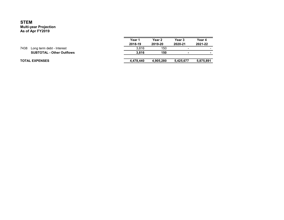|      |                                  | Year 1<br>2018-19 | Year 2<br>2019-20 | Year 3<br>2020-21        | Year 4<br>2021-22 |
|------|----------------------------------|-------------------|-------------------|--------------------------|-------------------|
| 7438 | Long term debt - Interest        | 3.816             | 150               | -                        |                   |
|      | <b>SUBTOTAL - Other Outflows</b> | 3.816             | 150               | $\overline{\phantom{0}}$ |                   |
|      | <b>TOTAL EXPENSES</b>            | 4.478.440         | 4,905,280         | 5.425.677                | 5,875,891         |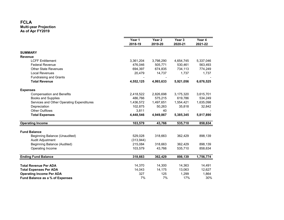|                                           | Year 1<br>2018-19 | Year <sub>2</sub><br>2019-20 | Year <sub>3</sub><br>2020-21 | Year 4<br>2021-22 |
|-------------------------------------------|-------------------|------------------------------|------------------------------|-------------------|
| <b>SUMMARY</b>                            |                   |                              |                              |                   |
| <b>Revenue</b>                            |                   |                              |                              |                   |
| <b>LCFF Entitlement</b>                   | 3,361,204         | 3,798,290                    | 4,654,745                    | 5,337,046         |
| <b>Federal Revenue</b>                    | 476,046           | 505,771                      | 530,461                      | 563,493           |
| <b>Other State Revenues</b>               | 694,397           | 674,835                      | 734,113                      | 774,249           |
| Local Revenues                            | 20,479            | 14,737                       | 1,737                        | 1,737             |
| <b>Fundraising and Grants</b>             |                   |                              |                              |                   |
| <b>Total Revenue</b>                      | 4,552,125         | 4,993,633                    | 5,921,056                    | 6,676,525         |
| <b>Expenses</b>                           |                   |                              |                              |                   |
| <b>Compensation and Benefits</b>          | 2,418,522         | 2,826,698                    | 3,175,320                    | 3,615,701         |
| <b>Books and Supplies</b>                 | 486.766           | 575,215                      | 619,786                      | 534,249           |
| Services and Other Operating Expenditures | 1,436,572         | 1,497,651                    | 1,554,421                    | 1,635,098         |
| Depreciation                              | 102,875           | 50,263                       | 35,818                       | 32,842            |
| <b>Other Outflows</b>                     | 3,811             | 40                           |                              |                   |
| <b>Total Expenses</b>                     | 4,448,546         | 4,949,867                    | 5,385,345                    | 5,817,890         |
| <b>Operating Income</b>                   | 103,579           | 43,766                       | 535,710                      | 858,634           |
| <b>Fund Balance</b>                       |                   |                              |                              |                   |
| Beginning Balance (Unaudited)             | 529,028           | 318,663                      | 362,429                      | 898,139           |
| Audit Adjustment                          | (313, 944)        |                              |                              |                   |
| <b>Beginning Balance (Audited)</b>        | 215,084           | 318,663                      | 362,429                      | 898,139           |
| Operating Income                          | 103,579           | 43,766                       | 535,710                      | 858,634           |
| <b>Ending Fund Balance</b>                | 318,663           | 362,429                      | 898,139                      | 1,756,774         |
| <b>Total Revenue Per ADA</b>              | 14,370            | 14,300                       | 14,363                       | 14,491            |
| <b>Total Expenses Per ADA</b>             | 14,043            | 14,175                       | 13,063                       | 12,627            |
| <b>Operating Income Per ADA</b>           | 327               | 125                          | 1,299                        | 1,864             |
| Fund Balance as a % of Expenses           | 7%                | 7%                           | 17%                          | 30%               |
|                                           |                   |                              |                              |                   |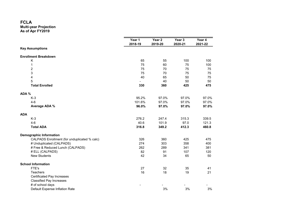|       |                                              | Year 1<br>2018-19 | Year 2<br>2019-20 | Year 3<br>2020-21 | Year 4<br>2021-22 |
|-------|----------------------------------------------|-------------------|-------------------|-------------------|-------------------|
|       | <b>Key Assumptions</b>                       |                   |                   |                   |                   |
|       | <b>Enrollment Breakdown</b>                  |                   |                   |                   |                   |
|       | Κ                                            | 65                | 55                | 100               | 100               |
|       | $\mathbf 1$                                  | 75                | 60                | 75                | 100               |
|       | $\overline{\mathbf{c}}$                      | 75                | 70                | 75                | 75                |
|       | 3                                            | 75                | 70                | 75                | 75                |
|       | 4                                            | 40                | 65                | 50                | 75                |
|       | 5                                            |                   | 40                | 50                | 50                |
|       | <b>Total Enrolled</b>                        | 330               | 360               | 425               | 475               |
| ADA % |                                              |                   |                   |                   |                   |
|       | $K-3$                                        | 95.2%             | 97.0%             | 97.0%             | 97.0%             |
|       | $4-6$                                        | 101.6%            | 97.0%             | 97.0%             | 97.0%             |
|       | Average ADA %                                | 96.0%             | 97.0%             | 97.0%             | 97.0%             |
| ADA   |                                              |                   |                   |                   |                   |
|       | $K-3$                                        | 276.2             | 247.4             | 315.3             | 339.5             |
|       | $4-6$                                        | 40.6              | 101.9             | 97.0              | 121.3             |
|       | <b>Total ADA</b>                             | 316.8             | 349.2             | 412.3             | 460.8             |
|       | <b>Demographic Information</b>               |                   |                   |                   |                   |
|       | CALPADS Enrollment (for unduplicated % calc) | 326               | 360               | 425               | 475               |
|       | # Unduplicated (CALPADS)                     | 274               | 303               | 358               | 400               |
|       | # Free & Reduced Lunch (CALPADS)             | 262               | 289               | 341               | 381               |
|       | # ELL (CALPADS)                              | 82                | 91                | 107               | 120               |
|       | <b>New Students</b>                          | 42                | 34                | 65                | 50                |
|       | <b>School Information</b>                    |                   |                   |                   |                   |
|       | FTE's                                        | 27                | 32                | 35                | 41                |
|       | Teachers                                     | 16                | 18                | 19                | 21                |
|       | <b>Certificated Pay Increases</b>            |                   |                   |                   |                   |
|       | <b>Classified Pay Increases</b>              |                   |                   |                   |                   |
|       | # of school days                             |                   |                   |                   |                   |
|       | Default Expense Inflation Rate               |                   | 3%                | 3%                | 3%                |
|       |                                              |                   |                   |                   |                   |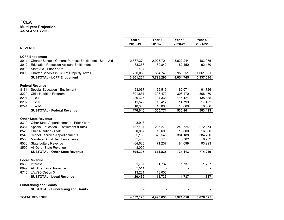|                |                                                         | Year 1<br>2018-19 | Year <sub>2</sub><br>2019-20 | Year 3<br>2020-21 | Year 4<br>2021-22 |
|----------------|---------------------------------------------------------|-------------------|------------------------------|-------------------|-------------------|
| <b>REVENUE</b> |                                                         |                   |                              |                   |                   |
|                | <b>LCFF Entitlement</b>                                 |                   |                              |                   |                   |
| 8011           | Charter Schools General Purpose Entitlement - State Aid | 2,567,374         | 2,923,701                    | 3,622,244         | 4,183,075         |
| 8012           | <b>Education Protection Account Entitlement</b>         | 63,358            | 69,840                       | 82,450            | 92,150            |
| 8019           | State Aid - Prior Years                                 | 414               |                              |                   |                   |
| 8096           | Charter Schools in Lieu of Property Taxes               | 730,058           | 804,749                      | 950,051           | 1,061,821         |
|                | <b>SUBTOTAL - LCFF Entitlement</b>                      | 3,361,204         | 3,798,290                    | 4,654,745         | 5,337,046         |
|                | <b>Federal Revenue</b>                                  |                   |                              |                   |                   |
| 8181           | Special Education - Entitlement                         | 63,067            | 69,519                       | 82,071            | 91,726            |
| 8220           | <b>Child Nutrition Programs</b>                         | 301,831           | 308,470                      | 308,470           | 308,470           |
| 8291           | Title I                                                 | 89,627            | 104,366                      | 115,121           | 135,835           |
| 8292           | Title II                                                | 11,522            | 13,417                       | 14,799            | 17,462            |
| 8294           | Title IV                                                | 10,000            | 10,000                       | 10,000            | 10,000            |
|                | <b>SUBTOTAL - Federal Revenue</b>                       | 476,046           | 505,771                      | 530,461           | 563,493           |
|                | <b>Other State Revenue</b>                              |                   |                              |                   |                   |
| 8319           | Other State Apportionments - Prior Years                | 8,918             |                              |                   |                   |
| 8381           | Special Education - Entitlement (State)                 | 187,134           | 206,279                      | 243,524           | 272,174           |
| 8520           | <b>Child Nutrition - State</b>                          | 20,067            | 16,600                       | 16,600            | 16,600            |
| 8545           | <b>School Facilities Apportionments</b>                 | 355,180           | 375,546                      | 384,188           | 384,750           |
| 8550           | <b>Mandated Cost Reimbursements</b>                     | 55,463            | 5,173                        | 5,702             | 6,732             |
| 8560           | State Lottery Revenue                                   | 64,625            | 71,237                       | 84,099            | 93,993            |
| 8590           | All Other State Revenue                                 | 3,009             |                              |                   |                   |
|                | <b>SUBTOTAL - Other State Revenue</b>                   | 694,397           | 674,835                      | 734,113           | 774,249           |
|                | <b>Local Revenue</b>                                    |                   |                              |                   |                   |
| 8660           | Interest                                                | 1,737             | 1,737                        | 1,737             | 1,737             |
| 8699           | All Other Local Revenue                                 | 5,511             |                              |                   |                   |
| 8715           | <b>LAUSD Option 3</b>                                   | 13,231            | 13,000                       |                   |                   |
|                | <b>SUBTOTAL - Local Revenue</b>                         | 20,479            | 14,737                       | 1,737             | 1,737             |
|                | <b>Fundraising and Grants</b>                           |                   |                              |                   |                   |
|                | <b>SUBTOTAL - Fundraising and Grants</b>                | $\blacksquare$    | $\blacksquare$               | $\blacksquare$    |                   |
|                | <b>TOTAL REVENUE</b>                                    | 4,552,125         | 4,993,633                    | 5,921,056         | 6,676,525         |
|                |                                                         |                   |                              |                   |                   |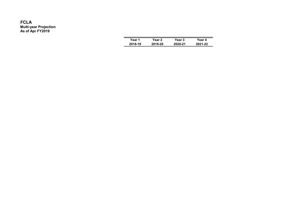| Year 1  | Year 2  | Year 3  | Year 4  |
|---------|---------|---------|---------|
| 2018-19 | 2019-20 | 2020-21 | 2021-22 |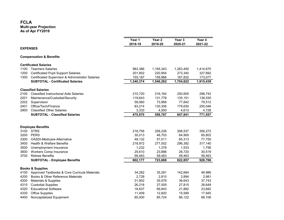|      |                                                  | Year 1    | Year <sub>2</sub> | Year 3    | Year 4    |
|------|--------------------------------------------------|-----------|-------------------|-----------|-----------|
|      |                                                  | 2018-19   | 2019-20           | 2020-21   | 2021-22   |
|      | <b>EXPENSES</b>                                  |           |                   |           |           |
|      | <b>Compensation &amp; Benefits</b>               |           |                   |           |           |
|      | <b>Certificated Salaries</b>                     |           |                   |           |           |
| 1100 | <b>Teachers Salaries</b>                         | 983,386   | 1,165,343         | 1,263,450 | 1,414,670 |
| 1200 | <b>Certificated Pupil Support Salaries</b>       | 201,802   | 220,954           | 273,340   | 327,692   |
| 1300 | Certificated Supervisor & Administrator Salaries | 155,187   | 159,966           | 167,832   | 173,077   |
|      | <b>SUBTOTAL - Certificated Salaries</b>          | 1,340,374 | 1,546,262         | 1,704,622 | 1,915,439 |
|      | <b>Classified Salaries</b>                       |           |                   |           |           |
| 2100 | <b>Classified Instructional Aide Salaries</b>    | 210,720   | 216,164           | 250,605   | 298,742   |
| 2201 | Maintenance/Custodial/Security                   | 119,643   | 131,778           | 135,151   | 138,530   |
| 2202 | Supervision                                      | 59,060    | 73,969            | 77,842    | 79,512    |
| 2401 | Office/Tech/Finance                              | 83,214    | 130,356           | 179,630   | 250,046   |
| 2900 | <b>Classified Other Salaries</b>                 | 3,333     | 4,500             | 4,613     | 4,728     |
|      | <b>SUBTOTAL - Classified Salaries</b>            | 475,970   | 556,767           | 647,841   | 771,557   |
|      |                                                  |           |                   |           |           |
| 3100 | <b>Employee Benefits</b><br><b>STRS</b>          | 218,756   | 258,226           | 308,537   | 356,272   |
| 3200 | <b>PERS</b>                                      | 30,013    | 46,703            | 64,900    | 85,802    |
| 3300 | OASDI-Medicare-Alternative                       | 48,132    | 57,011            | 65,313    | 77,755    |
| 3400 | Health & Welfare Benefits                        | 218,972   | 277,002           | 296,392   | 317,140   |
| 3500 | Unemployment Insurance                           | 1,232     | 1,378             | 1,533     | 1,756     |
| 3600 | <b>Workers Comp Insurance</b>                    | 25,610    | 23,886            | 26,720    | 30,519    |
| 3700 | <b>Retiree Benefits</b>                          | 59,463    | 59,463            | 59,463    | 59,463    |
|      | <b>SUBTOTAL - Employee Benefits</b>              | 602,177   | 723,669           | 822,857   | 928,706   |
|      | <b>Books &amp; Supplies</b>                      |           |                   |           |           |
| 4100 | Approved Textbooks & Core Curricula Materials    | 34,282    | 35,281            | 142,684   | 48,986    |
| 4200 | Books & Other Reference Materials                | 2,728     | 2,810             | 2,894     | 2,981     |
| 4300 | Materials & Supplies                             | 31,902    | 35,576            | 36,643    | 37,743    |
| 4315 | <b>Custodial Supplies</b>                        | 26,218    | 27,005            | 27,815    | 28,649    |
| 4320 | <b>Educational Software</b>                      | 18,637    | 69,843            | 21,882    | 23,682    |
| 4330 | <b>Office Supplies</b>                           | 11,409    | 12,820            | 15,589    | 17,945    |
| 4400 | Noncapitalized Equipment                         | 65,000    | 85,724            | 66,122    | 68,106    |
|      |                                                  |           |                   |           |           |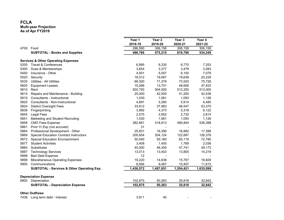| Year 1<br>Year <sub>2</sub><br>Year 3<br>2018-19<br>2019-20<br>2020-21<br>2021-22<br>4700<br>Food<br>296,590<br>306,158<br>306,158<br><b>SUBTOTAL - Books and Supplies</b><br>486,766<br>575,215<br>619,786<br><b>Services &amp; Other Operating Expenses</b><br>Travel & Conferences<br>6,895<br>6,230<br>6,770<br>5200<br>3,479<br>5300<br>Dues & Memberships<br>3,654<br>3,377<br>3,583<br>4,501<br>5,057<br>6,150<br>7,079<br>5450<br>Insurance - Other<br>19,639<br>5520<br>18,512<br>19,067<br>20,229<br>Security<br>5535<br>Utilities - All Utilities<br>69,300<br>71,379<br>73,520<br>75,726<br>48,606<br>47,933<br>5605<br>10,266<br>13,751<br><b>Equipment Leases</b><br>5610<br>513,000<br>502,750<br>504,000<br>512,250<br>Rent<br>5615<br>25,000<br>41,200<br>42,436<br>Repairs and Maintenance - Building<br>42,500<br>5815<br>Consultants - Instructional<br>1,030<br>1,061<br>1,093<br>5820<br>Consultants - Non-Instructional<br>4,891<br>5,260<br>5,914<br>6,485 |      |                                |        |        |           |
|------------------------------------------------------------------------------------------------------------------------------------------------------------------------------------------------------------------------------------------------------------------------------------------------------------------------------------------------------------------------------------------------------------------------------------------------------------------------------------------------------------------------------------------------------------------------------------------------------------------------------------------------------------------------------------------------------------------------------------------------------------------------------------------------------------------------------------------------------------------------------------------------------------------------------------------------------------------------------------|------|--------------------------------|--------|--------|-----------|
|                                                                                                                                                                                                                                                                                                                                                                                                                                                                                                                                                                                                                                                                                                                                                                                                                                                                                                                                                                                    |      |                                |        |        | Year 4    |
|                                                                                                                                                                                                                                                                                                                                                                                                                                                                                                                                                                                                                                                                                                                                                                                                                                                                                                                                                                                    |      |                                |        |        |           |
|                                                                                                                                                                                                                                                                                                                                                                                                                                                                                                                                                                                                                                                                                                                                                                                                                                                                                                                                                                                    |      |                                |        |        | 306,158   |
|                                                                                                                                                                                                                                                                                                                                                                                                                                                                                                                                                                                                                                                                                                                                                                                                                                                                                                                                                                                    |      |                                |        |        | 534,249   |
|                                                                                                                                                                                                                                                                                                                                                                                                                                                                                                                                                                                                                                                                                                                                                                                                                                                                                                                                                                                    |      |                                |        |        |           |
|                                                                                                                                                                                                                                                                                                                                                                                                                                                                                                                                                                                                                                                                                                                                                                                                                                                                                                                                                                                    |      |                                |        |        | 7,253     |
|                                                                                                                                                                                                                                                                                                                                                                                                                                                                                                                                                                                                                                                                                                                                                                                                                                                                                                                                                                                    |      |                                |        |        |           |
|                                                                                                                                                                                                                                                                                                                                                                                                                                                                                                                                                                                                                                                                                                                                                                                                                                                                                                                                                                                    |      |                                |        |        |           |
|                                                                                                                                                                                                                                                                                                                                                                                                                                                                                                                                                                                                                                                                                                                                                                                                                                                                                                                                                                                    |      |                                |        |        |           |
|                                                                                                                                                                                                                                                                                                                                                                                                                                                                                                                                                                                                                                                                                                                                                                                                                                                                                                                                                                                    |      |                                |        |        |           |
|                                                                                                                                                                                                                                                                                                                                                                                                                                                                                                                                                                                                                                                                                                                                                                                                                                                                                                                                                                                    |      |                                |        |        |           |
|                                                                                                                                                                                                                                                                                                                                                                                                                                                                                                                                                                                                                                                                                                                                                                                                                                                                                                                                                                                    |      |                                |        |        |           |
|                                                                                                                                                                                                                                                                                                                                                                                                                                                                                                                                                                                                                                                                                                                                                                                                                                                                                                                                                                                    |      |                                |        |        |           |
|                                                                                                                                                                                                                                                                                                                                                                                                                                                                                                                                                                                                                                                                                                                                                                                                                                                                                                                                                                                    |      |                                |        |        | 1,126     |
|                                                                                                                                                                                                                                                                                                                                                                                                                                                                                                                                                                                                                                                                                                                                                                                                                                                                                                                                                                                    |      |                                |        |        |           |
| 37,983                                                                                                                                                                                                                                                                                                                                                                                                                                                                                                                                                                                                                                                                                                                                                                                                                                                                                                                                                                             | 5824 | <b>District Oversight Fees</b> | 33,612 | 46,547 | 53,370    |
| 5836<br>3,892<br>4,373<br>5,318<br>Fingerprinting                                                                                                                                                                                                                                                                                                                                                                                                                                                                                                                                                                                                                                                                                                                                                                                                                                                                                                                                  |      |                                |        |        | 6,122     |
| 5845<br>2,575<br>Legal Fees<br>2,652<br>2,732                                                                                                                                                                                                                                                                                                                                                                                                                                                                                                                                                                                                                                                                                                                                                                                                                                                                                                                                      |      |                                |        |        | 2,814     |
| 5851<br>1,030<br>1,093<br>Marketing and Student Recruiting<br>1,061                                                                                                                                                                                                                                                                                                                                                                                                                                                                                                                                                                                                                                                                                                                                                                                                                                                                                                                |      |                                |        |        | 1,126     |
| 5858<br><b>CMO Fees Expense</b><br>382,861<br>418,913<br>485,844                                                                                                                                                                                                                                                                                                                                                                                                                                                                                                                                                                                                                                                                                                                                                                                                                                                                                                                   |      |                                |        |        | 536,398   |
| 5861<br>Prior Yr Exp (not accrued)<br>31                                                                                                                                                                                                                                                                                                                                                                                                                                                                                                                                                                                                                                                                                                                                                                                                                                                                                                                                           |      |                                |        |        |           |
| 5864<br>Professional Development - Other<br>25,831<br>16,390<br>16,882                                                                                                                                                                                                                                                                                                                                                                                                                                                                                                                                                                                                                                                                                                                                                                                                                                                                                                             |      |                                |        |        | 17,388    |
| 5869<br><b>Special Education Contract Instructors</b><br>200,654<br>204,124<br>122,697                                                                                                                                                                                                                                                                                                                                                                                                                                                                                                                                                                                                                                                                                                                                                                                                                                                                                             |      |                                |        |        | 126,378   |
| 5872<br>55,160<br>65,119<br><b>Special Education Encroachment</b><br>50,040                                                                                                                                                                                                                                                                                                                                                                                                                                                                                                                                                                                                                                                                                                                                                                                                                                                                                                        |      |                                |        |        | 72,780    |
| 1,769<br>5877<br><b>Student Activities</b><br>3,408<br>1,455                                                                                                                                                                                                                                                                                                                                                                                                                                                                                                                                                                                                                                                                                                                                                                                                                                                                                                                       |      |                                |        |        | 2,036     |
| 5884<br>45,000<br>46,350<br>Substitutes<br>47,741                                                                                                                                                                                                                                                                                                                                                                                                                                                                                                                                                                                                                                                                                                                                                                                                                                                                                                                                  |      |                                |        |        | 49,173    |
| 5887<br><b>Technology Services</b><br>13,013<br>13,403<br>13,805                                                                                                                                                                                                                                                                                                                                                                                                                                                                                                                                                                                                                                                                                                                                                                                                                                                                                                                   |      |                                |        |        | 14,219    |
| 12<br>5898<br><b>Bad Debt Expense</b>                                                                                                                                                                                                                                                                                                                                                                                                                                                                                                                                                                                                                                                                                                                                                                                                                                                                                                                                              |      |                                |        |        |           |
| 19,220<br>5899<br>Miscellaneous Operating Expenses<br>14,638<br>15,797                                                                                                                                                                                                                                                                                                                                                                                                                                                                                                                                                                                                                                                                                                                                                                                                                                                                                                             |      |                                |        |        | 16,829    |
| 5900<br>Communications<br>8,594<br>9,467<br>10,457                                                                                                                                                                                                                                                                                                                                                                                                                                                                                                                                                                                                                                                                                                                                                                                                                                                                                                                                 |      |                                |        |        | 11,615    |
| <b>SUBTOTAL - Services &amp; Other Operating Exp.</b><br>1,436,572<br>1,497,651<br>1,554,421                                                                                                                                                                                                                                                                                                                                                                                                                                                                                                                                                                                                                                                                                                                                                                                                                                                                                       |      |                                |        |        | 1,635,098 |
| <b>Depreciation Expense</b>                                                                                                                                                                                                                                                                                                                                                                                                                                                                                                                                                                                                                                                                                                                                                                                                                                                                                                                                                        |      |                                |        |        |           |
| 102,875<br>50,263<br>6900<br>Depreciation<br>35,818                                                                                                                                                                                                                                                                                                                                                                                                                                                                                                                                                                                                                                                                                                                                                                                                                                                                                                                                |      |                                |        |        | 32,842    |
| 102,875<br>35,818<br><b>SUBTOTAL - Depreciation Expense</b><br>50,263                                                                                                                                                                                                                                                                                                                                                                                                                                                                                                                                                                                                                                                                                                                                                                                                                                                                                                              |      |                                |        |        | 32,842    |
| <b>Other Outflows</b>                                                                                                                                                                                                                                                                                                                                                                                                                                                                                                                                                                                                                                                                                                                                                                                                                                                                                                                                                              |      |                                |        |        |           |
| 3,811<br>7438 Long term debt - Interest<br>40                                                                                                                                                                                                                                                                                                                                                                                                                                                                                                                                                                                                                                                                                                                                                                                                                                                                                                                                      |      |                                |        |        |           |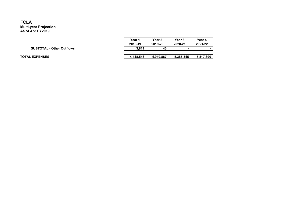|                                  | Year 1    | Year 2    | Year 3    | Year 4    |  |
|----------------------------------|-----------|-----------|-----------|-----------|--|
|                                  | 2018-19   | 2019-20   | 2020-21   | 2021-22   |  |
| <b>SUBTOTAL - Other Outflows</b> | 3.811     | 40        |           |           |  |
|                                  |           |           |           |           |  |
| <b>TOTAL EXPENSES</b>            | 4.448.546 | 4.949.867 | 5,385,345 | 5,817,890 |  |
|                                  |           |           |           |           |  |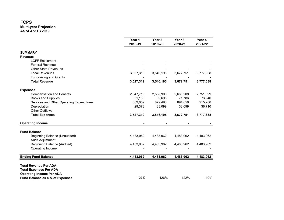|                                           | Year 1<br>2018-19 | Year <sub>2</sub><br>2019-20 | Year <sub>3</sub><br>2020-21 | Year 4<br>2021-22 |
|-------------------------------------------|-------------------|------------------------------|------------------------------|-------------------|
| <b>SUMMARY</b>                            |                   |                              |                              |                   |
| <b>Revenue</b>                            |                   |                              |                              |                   |
| <b>LCFF Entitlement</b>                   |                   |                              |                              |                   |
| <b>Federal Revenue</b>                    |                   |                              |                              |                   |
| <b>Other State Revenues</b>               |                   |                              |                              |                   |
| <b>Local Revenues</b>                     | 3,527,319         | 3,546,195                    | 3,672,751                    | 3,777,638         |
| <b>Fundraising and Grants</b>             |                   |                              |                              |                   |
| <b>Total Revenue</b>                      | 3,527,319         | 3,546,195                    | 3,672,751                    | 3,777,638         |
| <b>Expenses</b>                           |                   |                              |                              |                   |
| <b>Compensation and Benefits</b>          | 2,547,716         | 2,558,908                    | 2,668,208                    | 2,751,699         |
| <b>Books and Supplies</b>                 | 81,165            | 69,695                       | 71,786                       | 73,940            |
| Services and Other Operating Expenditures | 869,059           | 879,493                      | 894,658                      | 915,288           |
| Depreciation                              | 29,378            | 38,099                       | 38,099                       | 36,710            |
| <b>Other Outflows</b>                     |                   |                              |                              |                   |
| <b>Total Expenses</b>                     | 3,527,319         | 3,546,195                    | 3,672,751                    | 3,777,638         |
| <b>Operating Income</b>                   |                   |                              |                              |                   |
| <b>Fund Balance</b>                       |                   |                              |                              |                   |
| Beginning Balance (Unaudited)             | 4,483,962         | 4,483,962                    | 4,483,962                    | 4,483,962         |
| Audit Adjustment                          |                   |                              |                              |                   |
| <b>Beginning Balance (Audited)</b>        | 4,483,962         | 4,483,962                    | 4,483,962                    | 4,483,962         |
| Operating Income                          |                   |                              |                              |                   |
| <b>Ending Fund Balance</b>                | 4,483,962         | 4,483,962                    | 4,483,962                    | 4,483,962         |
| <b>Total Revenue Per ADA</b>              |                   |                              |                              |                   |
| <b>Total Expenses Per ADA</b>             |                   |                              |                              |                   |
| <b>Operating Income Per ADA</b>           |                   |                              |                              |                   |
| Fund Balance as a % of Expenses           | 127%              | 126%                         | 122%                         | 119%              |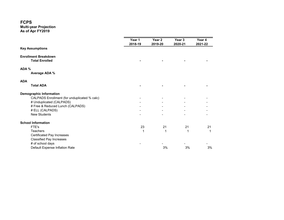#### FCPS

| Year 1 | Year 2  | Year 3  | Year 4<br>2021-22 |
|--------|---------|---------|-------------------|
|        |         |         |                   |
|        |         |         |                   |
|        |         |         |                   |
|        |         |         |                   |
|        |         |         |                   |
|        |         |         |                   |
|        |         |         |                   |
|        |         |         |                   |
|        |         |         |                   |
|        |         |         |                   |
|        |         |         |                   |
|        |         |         |                   |
|        |         |         |                   |
|        |         |         |                   |
| 23     | 21      | 21      | 21                |
| 1      |         | 1       | 1                 |
|        |         |         |                   |
|        |         |         |                   |
|        |         |         |                   |
|        | 3%      | 3%      | 3%                |
|        | 2018-19 | 2019-20 | 2020-21           |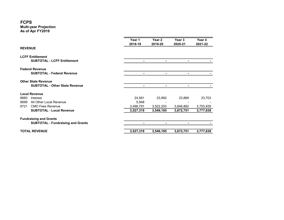### FCPS

|                |                                                                     | Year 1<br>2018-19 | Year 2<br>2019-20 | Year 3<br>2020-21 | Year 4<br>2021-22 |
|----------------|---------------------------------------------------------------------|-------------------|-------------------|-------------------|-------------------|
| <b>REVENUE</b> |                                                                     |                   |                   |                   |                   |
|                | <b>LCFF Entitlement</b><br><b>SUBTOTAL - LCFF Entitlement</b>       |                   | ٠                 | $\blacksquare$    |                   |
|                | <b>Federal Revenue</b><br><b>SUBTOTAL - Federal Revenue</b>         |                   | ٠                 |                   |                   |
|                | <b>Other State Revenue</b><br><b>SUBTOTAL - Other State Revenue</b> |                   | ۰                 |                   |                   |
|                | <b>Local Revenue</b>                                                |                   |                   |                   |                   |
| 8660<br>8699   | Interest<br>All Other Local Revenue                                 | 24,581<br>5,948   | 23,992            | 23,869            | 23,703            |
| 8721           | <b>CMO Fees Revenue</b>                                             | 3,496,791         | 3,522,203         | 3,648,882         | 3,753,935         |
|                | <b>SUBTOTAL - Local Revenue</b>                                     | 3,527,319         | 3,546,195         | 3,672,751         | 3,777,638         |
|                | <b>Fundraising and Grants</b>                                       |                   |                   |                   |                   |
|                | <b>SUBTOTAL - Fundraising and Grants</b>                            |                   | -                 |                   |                   |
|                | <b>TOTAL REVENUE</b>                                                | 3,527,319         | 3,546,195         | 3,672,751         | 3,777,638         |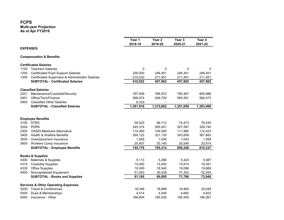|      |                                                  | Year 1      | Year <sub>2</sub> | Year 3      | Year 4    |
|------|--------------------------------------------------|-------------|-------------------|-------------|-----------|
|      |                                                  | 2018-19     | 2019-20           | 2020-21     | 2021-22   |
|      | <b>EXPENSES</b>                                  |             |                   |             |           |
|      | <b>Compensation &amp; Benefits</b>               |             |                   |             |           |
|      | <b>Certificated Salaries</b>                     |             |                   |             |           |
| 1100 | <b>Teachers Salaries</b>                         | $\mathbf 0$ | 0                 | $\mathbf 0$ | 0         |
| 1200 | <b>Certificated Pupil Support Salaries</b>       | 200,000     | 246,451           | 246,451     | 246,451   |
| 1300 | Certificated Supervisor & Administrator Salaries | 210,022     | 211,451           | 211,451     | 211,451   |
|      | <b>SUBTOTAL - Certificated Salaries</b>          | 410,022     | 457,902           | 457,902     | 457,902   |
|      | <b>Classified Salaries</b>                       |             |                   |             |           |
| 2201 | Maintenance/Custodial/Security                   | 797,508     | 766,972           | 785,467     | 800,988   |
| 2401 | Office/Tech/Finance                              | 588,074     | 548,720           | 565,591     | 582,473   |
| 2900 | <b>Classified Other Salaries</b>                 | 6,333       |                   |             |           |
|      | <b>SUBTOTAL - Classified Salaries</b>            | 1,391,916   | 1,315,692         | 1,351,058   | 1,383,460 |
|      |                                                  |             |                   |             |           |
|      | <b>Employee Benefits</b>                         |             |                   |             |           |
| 3100 | <b>STRS</b>                                      | 59,422      | 68,712            | 74,473      | 76,530    |
| 3200 | <b>PERS</b>                                      | 245,374     | 265,001           | 307,597     | 329,740   |
| 3300 | OASDI-Medicare-Alternative                       | 114,400     | 109,300           | 111,980     | 114,433   |
| 3400 | <b>Health &amp; Welfare Benefits</b>             | 300,122     | 321,130           | 343,609     | 367,662   |
| 3500 | Unemployment Insurance                           | 1,055       | 1,026             | 1,043       | 1,058     |
| 3600 | Workers Comp Insurance                           | 25,407      | 20,145            | 20,546      | 20,914    |
|      | <b>SUBTOTAL - Employee Benefits</b>              | 745,779     | 785,314           | 859,248     | 910,337   |
|      | <b>Books &amp; Supplies</b>                      |             |                   |             |           |
| 4300 | Materials & Supplies                             | 5,113       | 5,266             | 5,424       | 5,587     |
| 4315 | <b>Custodial Supplies</b>                        | 15,000      | 15,450            | 15,914      | 16,391    |
| 4330 | <b>Office Supplies</b>                           | 10,000      | 18,540            | 19,096      | 19,669    |
| 4400 | Noncapitalized Equipment                         | 51,053      | 30,439            | 31,352      | 32,293    |
|      | <b>SUBTOTAL - Books and Supplies</b>             | 81,165      | 69,695            | 71,786      | 73,940    |
|      | <b>Services &amp; Other Operating Expenses</b>   |             |                   |             |           |
| 5200 | <b>Travel &amp; Conferences</b>                  | 18,348      | 18,898            | 19,465      | 20,049    |
| 5300 | Dues & Memberships                               | 4,414       | 4,546             | 4,682       | 4,823     |
| 5450 | Insurance - Other                                | 166,604     | 185,000           | 190,550     | 196,267   |